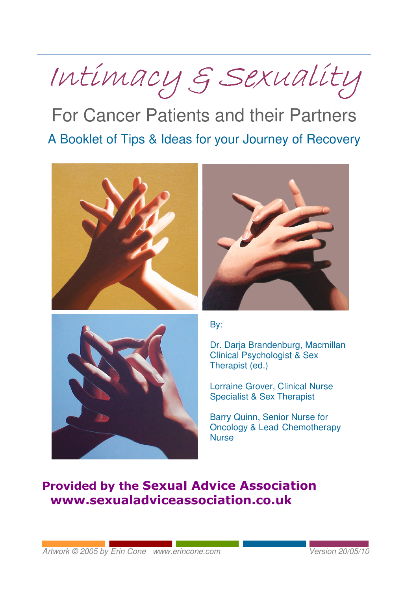

For Cancer Patients and their Partners A Booklet of Tips & Ideas for your Journey of Recovery







By:

Dr. Darja Brandenburg, Macmillan Clinical Psychologist & Sex Therapist (ed.)

Lorraine Grover, Clinical Nurse Specialist & Sex Therapist

Barry Quinn, Senior Nurse for Oncology & Lead Chemotherapy **Nurse** 

# Provided by the Sexual Advice Association www.sexualadviceassociation.co.uk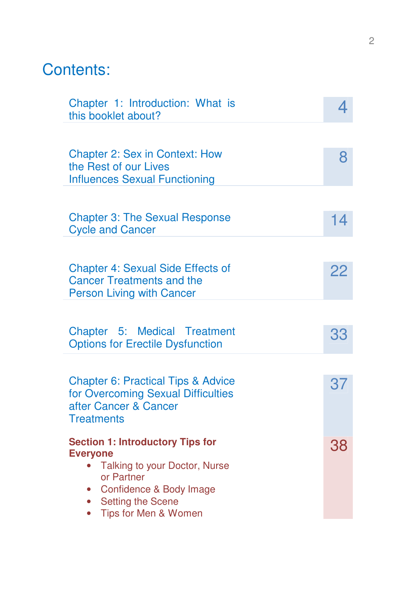# Contents:

| Chapter 1: Introduction: What is<br>this booklet about?                                                                           |    |
|-----------------------------------------------------------------------------------------------------------------------------------|----|
|                                                                                                                                   |    |
| <b>Chapter 2: Sex in Context: How</b><br>the Rest of our Lives<br><b>Influences Sexual Functioning</b>                            | 8  |
|                                                                                                                                   |    |
| <b>Chapter 3: The Sexual Response</b><br><b>Cycle and Cancer</b>                                                                  | 14 |
|                                                                                                                                   |    |
| <b>Chapter 4: Sexual Side Effects of</b><br><b>Cancer Treatments and the</b><br><b>Person Living with Cancer</b>                  | 22 |
|                                                                                                                                   |    |
| Chapter 5: Medical Treatment<br><b>Options for Erectile Dysfunction</b>                                                           | 33 |
|                                                                                                                                   |    |
| <b>Chapter 6: Practical Tips &amp; Advice</b><br>for Overcoming Sexual Difficulties<br>after Cancer & Cancer<br><b>Treatments</b> | 37 |
| <b>Section 1: Introductory Tips for</b>                                                                                           | 38 |
| <b>Everyone</b><br>Talking to your Doctor, Nurse                                                                                  |    |
| or Partner<br>Confidence & Body Image                                                                                             |    |
| Setting the Scene<br>$\bullet$<br>Tips for Men & Women                                                                            |    |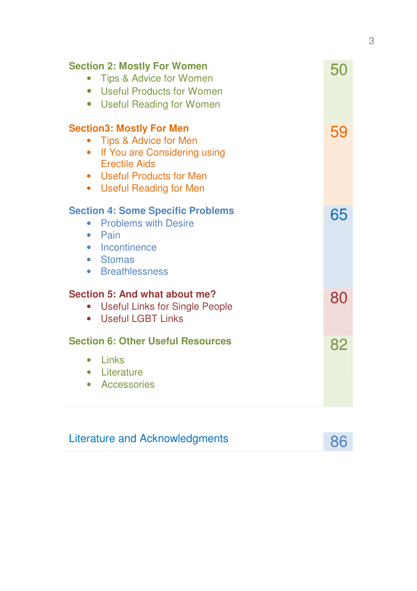| <b>Section 2: Mostly For Women</b><br>Tips & Advice for Women<br>• Useful Products for Women<br>• Useful Reading for Women                                                             | 50 |
|----------------------------------------------------------------------------------------------------------------------------------------------------------------------------------------|----|
| <b>Section3: Mostly For Men</b><br>Tips & Advice for Men<br>If You are Considering using<br>$\bullet$<br><b>Erectile Aids</b><br>• Useful Products for Men<br>• Useful Reading for Men | 59 |
| <b>Section 4: Some Specific Problems</b><br><b>Problems with Desire</b><br>Pain<br>٠<br>• Incontinence<br>• Stomas<br>• Breathlessness                                                 | 65 |
| Section 5: And what about me?<br><b>Useful Links for Single People</b><br><b>Useful LGBT Links</b><br>$\bullet$                                                                        | 80 |
| <b>Section 6: Other Useful Resources</b><br>$\bullet$ Links<br>• Literature<br>• Accessories                                                                                           | 82 |

# Literature and Acknowledgments 86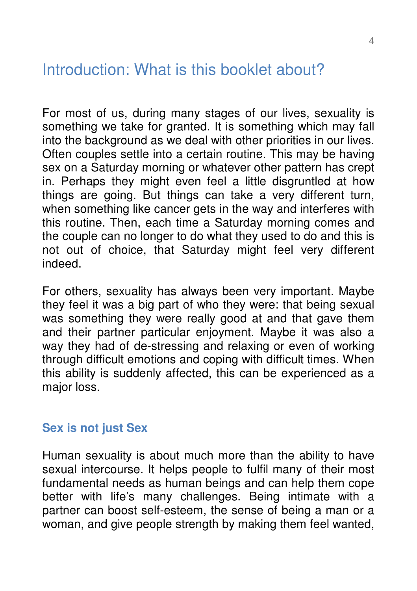# Introduction: What is this booklet about?

For most of us, during many stages of our lives, sexuality is something we take for granted. It is something which may fall into the background as we deal with other priorities in our lives. Often couples settle into a certain routine. This may be having sex on a Saturday morning or whatever other pattern has crept in. Perhaps they might even feel a little disgruntled at how things are going. But things can take a very different turn, when something like cancer gets in the way and interferes with this routine. Then, each time a Saturday morning comes and the couple can no longer to do what they used to do and this is not out of choice, that Saturday might feel very different indeed.

For others, sexuality has always been very important. Maybe they feel it was a big part of who they were: that being sexual was something they were really good at and that gave them and their partner particular enjoyment. Maybe it was also a way they had of de-stressing and relaxing or even of working through difficult emotions and coping with difficult times. When this ability is suddenly affected, this can be experienced as a major loss.

#### **Sex is not just Sex**

Human sexuality is about much more than the ability to have sexual intercourse. It helps people to fulfil many of their most fundamental needs as human beings and can help them cope better with life's many challenges. Being intimate with a partner can boost self-esteem, the sense of being a man or a woman, and give people strength by making them feel wanted,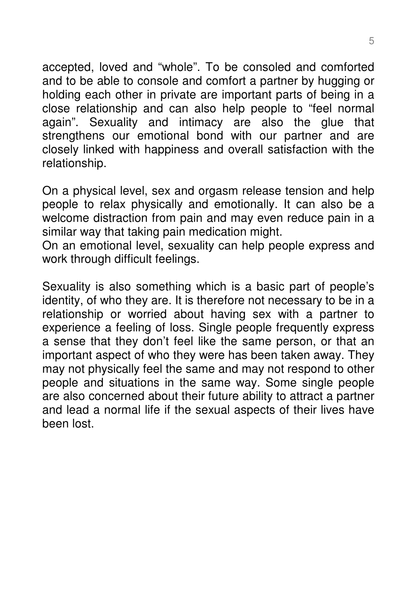accepted, loved and "whole". To be consoled and comforted and to be able to console and comfort a partner by hugging or holding each other in private are important parts of being in a close relationship and can also help people to "feel normal again". Sexuality and intimacy are also the glue that strengthens our emotional bond with our partner and are closely linked with happiness and overall satisfaction with the relationship.

On a physical level, sex and orgasm release tension and help people to relax physically and emotionally. It can also be a welcome distraction from pain and may even reduce pain in a similar way that taking pain medication might.

On an emotional level, sexuality can help people express and work through difficult feelings.

Sexuality is also something which is a basic part of people's identity, of who they are. It is therefore not necessary to be in a relationship or worried about having sex with a partner to experience a feeling of loss. Single people frequently express a sense that they don't feel like the same person, or that an important aspect of who they were has been taken away. They may not physically feel the same and may not respond to other people and situations in the same way. Some single people are also concerned about their future ability to attract a partner and lead a normal life if the sexual aspects of their lives have been lost.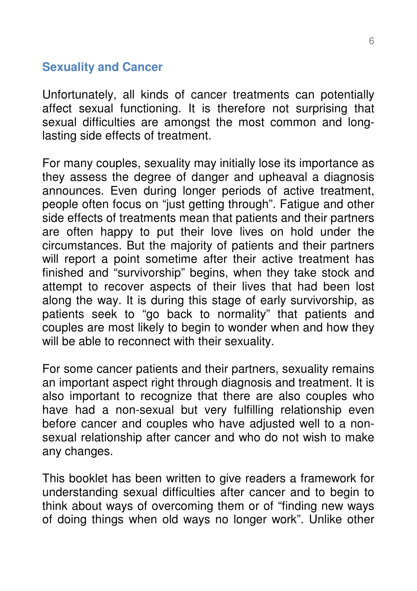## **Sexuality and Cancer**

Unfortunately, all kinds of cancer treatments can potentially affect sexual functioning. It is therefore not surprising that sexual difficulties are amongst the most common and longlasting side effects of treatment.

For many couples, sexuality may initially lose its importance as they assess the degree of danger and upheaval a diagnosis announces. Even during longer periods of active treatment, people often focus on "just getting through". Fatigue and other side effects of treatments mean that patients and their partners are often happy to put their love lives on hold under the circumstances. But the majority of patients and their partners will report a point sometime after their active treatment has finished and "survivorship" begins, when they take stock and attempt to recover aspects of their lives that had been lost along the way. It is during this stage of early survivorship, as patients seek to "go back to normality" that patients and couples are most likely to begin to wonder when and how they will be able to reconnect with their sexuality.

For some cancer patients and their partners, sexuality remains an important aspect right through diagnosis and treatment. It is also important to recognize that there are also couples who have had a non-sexual but very fulfilling relationship even before cancer and couples who have adjusted well to a nonsexual relationship after cancer and who do not wish to make any changes.

This booklet has been written to give readers a framework for understanding sexual difficulties after cancer and to begin to think about ways of overcoming them or of "finding new ways of doing things when old ways no longer work". Unlike other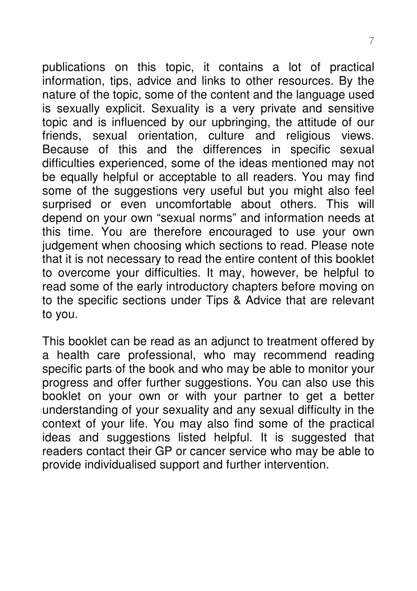publications on this topic, it contains a lot of practical information, tips, advice and links to other resources. By the nature of the topic, some of the content and the language used is sexually explicit. Sexuality is a very private and sensitive topic and is influenced by our upbringing, the attitude of our friends, sexual orientation, culture and religious views. Because of this and the differences in specific sexual difficulties experienced, some of the ideas mentioned may not be equally helpful or acceptable to all readers. You may find some of the suggestions very useful but you might also feel surprised or even uncomfortable about others. This will depend on your own "sexual norms" and information needs at this time. You are therefore encouraged to use your own judgement when choosing which sections to read. Please note that it is not necessary to read the entire content of this booklet to overcome your difficulties. It may, however, be helpful to read some of the early introductory chapters before moving on to the specific sections under Tips & Advice that are relevant to you.

This booklet can be read as an adjunct to treatment offered by a health care professional, who may recommend reading specific parts of the book and who may be able to monitor your progress and offer further suggestions. You can also use this booklet on your own or with your partner to get a better understanding of your sexuality and any sexual difficulty in the context of your life. You may also find some of the practical ideas and suggestions listed helpful. It is suggested that readers contact their GP or cancer service who may be able to provide individualised support and further intervention.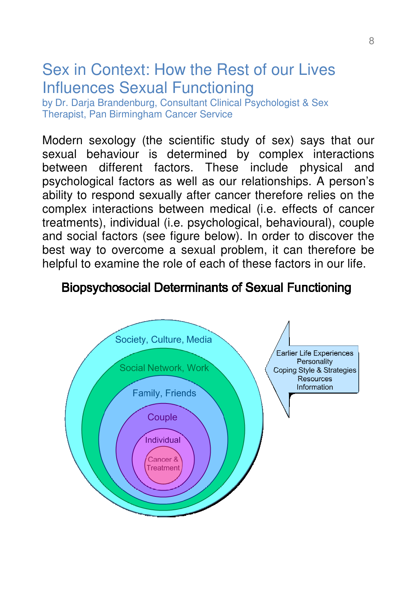# Sex in Context: How the Rest of our Lives Influences Sexual Functioning

by Dr. Darja Brandenburg, Consultant Clinical Psychologist & Sex Therapist, Pan Birmingham Cancer Service

Modern sexology (the scientific study of sex) says that our sexual behaviour is determined by complex interactions between different factors. These include physical and psychological factors as well as our relationships. A person's ability to respond sexually after cancer therefore relies on the complex interactions between medical (i.e. effects of cancer treatments), individual (i.e. psychological, behavioural), couple and social factors (see figure below). In order to discover the best way to overcome a sexual problem, it can therefore be helpful to examine the role of each of these factors in our life.

# **Biopsychosocial Determinants of Sexual Functioning**

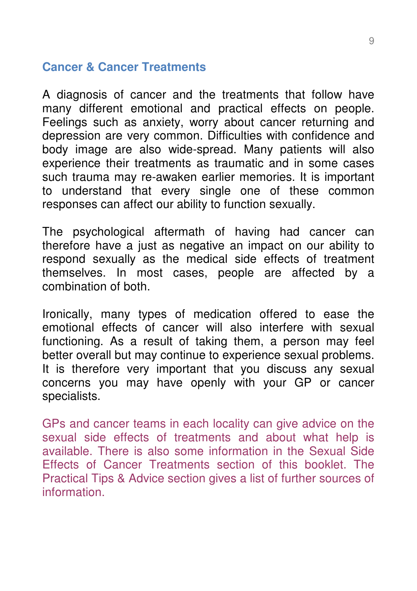#### **Cancer & Cancer Treatments**

A diagnosis of cancer and the treatments that follow have many different emotional and practical effects on people. Feelings such as anxiety, worry about cancer returning and depression are very common. Difficulties with confidence and body image are also wide-spread. Many patients will also experience their treatments as traumatic and in some cases such trauma may re-awaken earlier memories. It is important to understand that every single one of these common responses can affect our ability to function sexually.

The psychological aftermath of having had cancer can therefore have a just as negative an impact on our ability to respond sexually as the medical side effects of treatment themselves. In most cases, people are affected by a combination of both.

Ironically, many types of medication offered to ease the emotional effects of cancer will also interfere with sexual functioning. As a result of taking them, a person may feel better overall but may continue to experience sexual problems. It is therefore very important that you discuss any sexual concerns you may have openly with your GP or cancer specialists.

GPs and cancer teams in each locality can give advice on the sexual side effects of treatments and about what help is available. There is also some information in the Sexual Side Effects of Cancer Treatments section of this booklet. The Practical Tips & Advice section gives a list of further sources of information.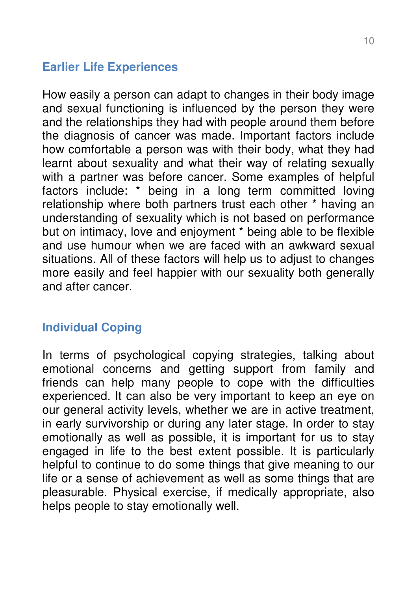# **Earlier Life Experiences**

How easily a person can adapt to changes in their body image and sexual functioning is influenced by the person they were and the relationships they had with people around them before the diagnosis of cancer was made. Important factors include how comfortable a person was with their body, what they had learnt about sexuality and what their way of relating sexually with a partner was before cancer. Some examples of helpful factors include: \* being in a long term committed loving relationship where both partners trust each other \* having an understanding of sexuality which is not based on performance but on intimacy, love and enjoyment \* being able to be flexible and use humour when we are faced with an awkward sexual situations. All of these factors will help us to adjust to changes more easily and feel happier with our sexuality both generally and after cancer.

# **Individual Coping**

In terms of psychological copying strategies, talking about emotional concerns and getting support from family and friends can help many people to cope with the difficulties experienced. It can also be very important to keep an eye on our general activity levels, whether we are in active treatment, in early survivorship or during any later stage. In order to stay emotionally as well as possible, it is important for us to stay engaged in life to the best extent possible. It is particularly helpful to continue to do some things that give meaning to our life or a sense of achievement as well as some things that are pleasurable. Physical exercise, if medically appropriate, also helps people to stay emotionally well.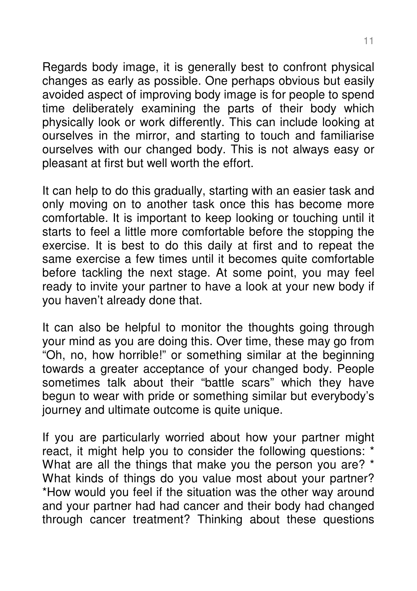Regards body image, it is generally best to confront physical changes as early as possible. One perhaps obvious but easily avoided aspect of improving body image is for people to spend time deliberately examining the parts of their body which physically look or work differently. This can include looking at ourselves in the mirror, and starting to touch and familiarise ourselves with our changed body. This is not always easy or pleasant at first but well worth the effort.

It can help to do this gradually, starting with an easier task and only moving on to another task once this has become more comfortable. It is important to keep looking or touching until it starts to feel a little more comfortable before the stopping the exercise. It is best to do this daily at first and to repeat the same exercise a few times until it becomes quite comfortable before tackling the next stage. At some point, you may feel ready to invite your partner to have a look at your new body if you haven't already done that.

It can also be helpful to monitor the thoughts going through your mind as you are doing this. Over time, these may go from "Oh, no, how horrible!" or something similar at the beginning towards a greater acceptance of your changed body. People sometimes talk about their "battle scars" which they have begun to wear with pride or something similar but everybody's journey and ultimate outcome is quite unique.

If you are particularly worried about how your partner might react, it might help you to consider the following questions: \* What are all the things that make you the person you are? \* What kinds of things do you value most about your partner? \*How would you feel if the situation was the other way around and your partner had had cancer and their body had changed through cancer treatment? Thinking about these questions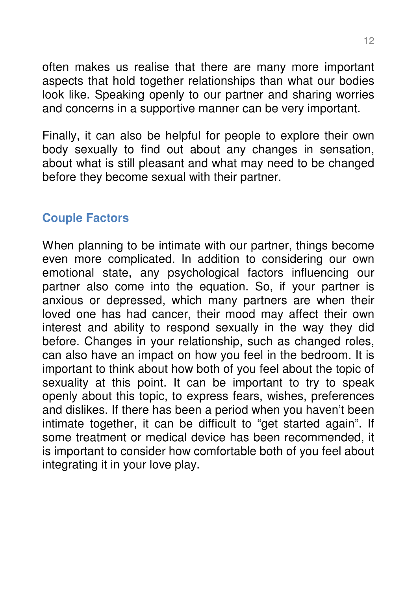often makes us realise that there are many more important aspects that hold together relationships than what our bodies look like. Speaking openly to our partner and sharing worries and concerns in a supportive manner can be very important.

Finally, it can also be helpful for people to explore their own body sexually to find out about any changes in sensation, about what is still pleasant and what may need to be changed before they become sexual with their partner.

# **Couple Factors**

When planning to be intimate with our partner, things become even more complicated. In addition to considering our own emotional state, any psychological factors influencing our partner also come into the equation. So, if your partner is anxious or depressed, which many partners are when their loved one has had cancer, their mood may affect their own interest and ability to respond sexually in the way they did before. Changes in your relationship, such as changed roles, can also have an impact on how you feel in the bedroom. It is important to think about how both of you feel about the topic of sexuality at this point. It can be important to try to speak openly about this topic, to express fears, wishes, preferences and dislikes. If there has been a period when you haven't been intimate together, it can be difficult to "get started again". If some treatment or medical device has been recommended, it is important to consider how comfortable both of you feel about integrating it in your love play.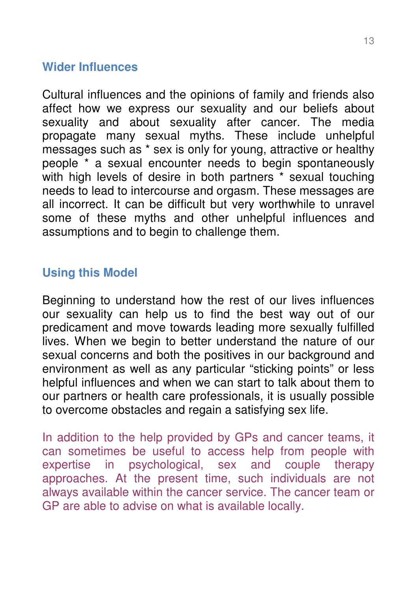#### **Wider Influences**

Cultural influences and the opinions of family and friends also affect how we express our sexuality and our beliefs about sexuality and about sexuality after cancer. The media propagate many sexual myths. These include unhelpful messages such as \* sex is only for young, attractive or healthy people \* a sexual encounter needs to begin spontaneously with high levels of desire in both partners \* sexual touching needs to lead to intercourse and orgasm. These messages are all incorrect. It can be difficult but very worthwhile to unravel some of these myths and other unhelpful influences and assumptions and to begin to challenge them.

### **Using this Model**

Beginning to understand how the rest of our lives influences our sexuality can help us to find the best way out of our predicament and move towards leading more sexually fulfilled lives. When we begin to better understand the nature of our sexual concerns and both the positives in our background and environment as well as any particular "sticking points" or less helpful influences and when we can start to talk about them to our partners or health care professionals, it is usually possible to overcome obstacles and regain a satisfying sex life.

In addition to the help provided by GPs and cancer teams, it can sometimes be useful to access help from people with expertise in psychological, sex and couple therapy approaches. At the present time, such individuals are not always available within the cancer service. The cancer team or GP are able to advise on what is available locally.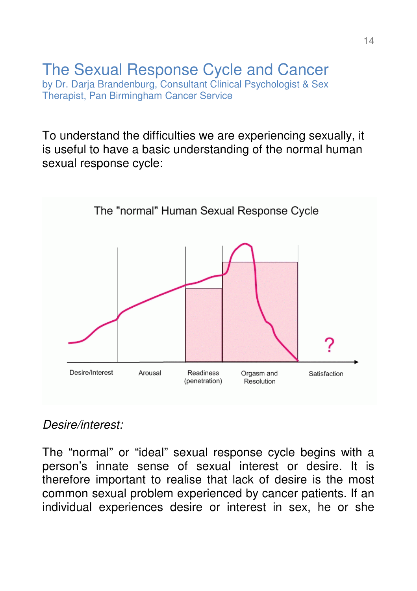#### The Sexual Response Cycle and Cancer by Dr. Darja Brandenburg, Consultant Clinical Psychologist & Sex Therapist, Pan Birmingham Cancer Service

To understand the difficulties we are experiencing sexually, it is useful to have a basic understanding of the normal human sexual response cycle:



### Desire/interest:

The "normal" or "ideal" sexual response cycle begins with a person's innate sense of sexual interest or desire. It is therefore important to realise that lack of desire is the most common sexual problem experienced by cancer patients. If an individual experiences desire or interest in sex, he or she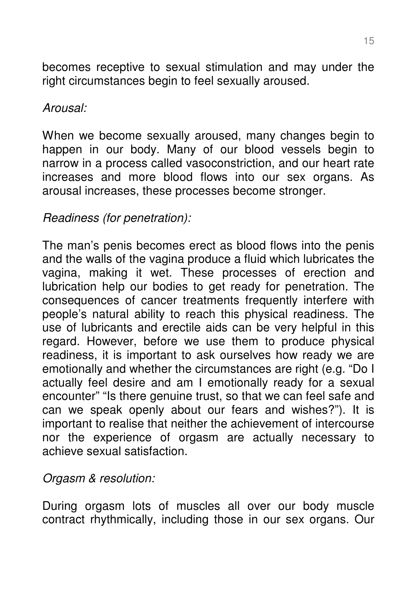becomes receptive to sexual stimulation and may under the right circumstances begin to feel sexually aroused.

### Arousal:

When we become sexually aroused, many changes begin to happen in our body. Many of our blood vessels begin to narrow in a process called vasoconstriction, and our heart rate increases and more blood flows into our sex organs. As arousal increases, these processes become stronger.

# Readiness (for penetration):

The man's penis becomes erect as blood flows into the penis and the walls of the vagina produce a fluid which lubricates the vagina, making it wet. These processes of erection and lubrication help our bodies to get ready for penetration. The consequences of cancer treatments frequently interfere with people's natural ability to reach this physical readiness. The use of lubricants and erectile aids can be very helpful in this regard. However, before we use them to produce physical readiness, it is important to ask ourselves how ready we are emotionally and whether the circumstances are right (e.g. "Do I actually feel desire and am I emotionally ready for a sexual encounter" "Is there genuine trust, so that we can feel safe and can we speak openly about our fears and wishes?"). It is important to realise that neither the achievement of intercourse nor the experience of orgasm are actually necessary to achieve sexual satisfaction.

# Orgasm & resolution:

During orgasm lots of muscles all over our body muscle contract rhythmically, including those in our sex organs. Our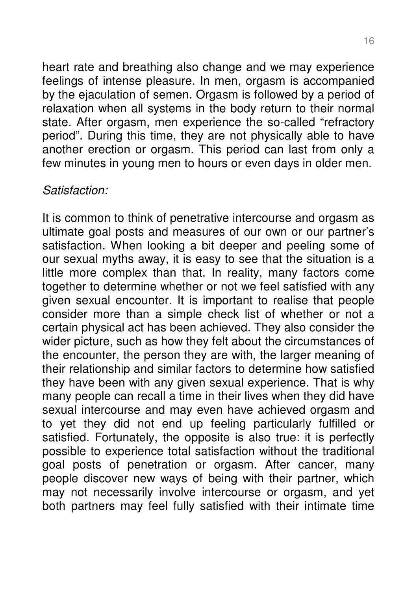heart rate and breathing also change and we may experience feelings of intense pleasure. In men, orgasm is accompanied by the ejaculation of semen. Orgasm is followed by a period of relaxation when all systems in the body return to their normal state. After orgasm, men experience the so-called "refractory period". During this time, they are not physically able to have another erection or orgasm. This period can last from only a few minutes in young men to hours or even days in older men.

### Satisfaction:

It is common to think of penetrative intercourse and orgasm as ultimate goal posts and measures of our own or our partner's satisfaction. When looking a bit deeper and peeling some of our sexual myths away, it is easy to see that the situation is a little more complex than that. In reality, many factors come together to determine whether or not we feel satisfied with any given sexual encounter. It is important to realise that people consider more than a simple check list of whether or not a certain physical act has been achieved. They also consider the wider picture, such as how they felt about the circumstances of the encounter, the person they are with, the larger meaning of their relationship and similar factors to determine how satisfied they have been with any given sexual experience. That is why many people can recall a time in their lives when they did have sexual intercourse and may even have achieved orgasm and to yet they did not end up feeling particularly fulfilled or satisfied. Fortunately, the opposite is also true: it is perfectly possible to experience total satisfaction without the traditional goal posts of penetration or orgasm. After cancer, many people discover new ways of being with their partner, which may not necessarily involve intercourse or orgasm, and yet both partners may feel fully satisfied with their intimate time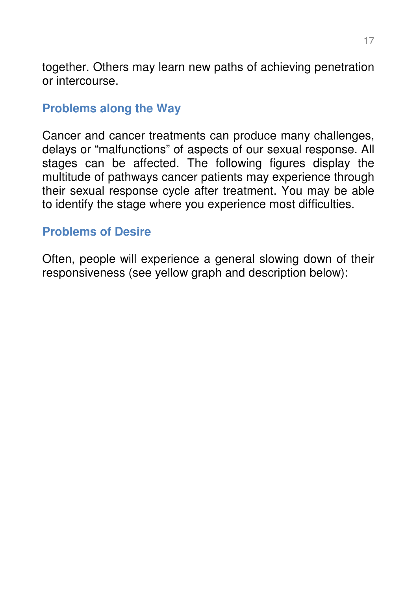together. Others may learn new paths of achieving penetration or intercourse.

## **Problems along the Way**

Cancer and cancer treatments can produce many challenges, delays or "malfunctions" of aspects of our sexual response. All stages can be affected. The following figures display the multitude of pathways cancer patients may experience through their sexual response cycle after treatment. You may be able to identify the stage where you experience most difficulties.

### **Problems of Desire**

Often, people will experience a general slowing down of their responsiveness (see yellow graph and description below):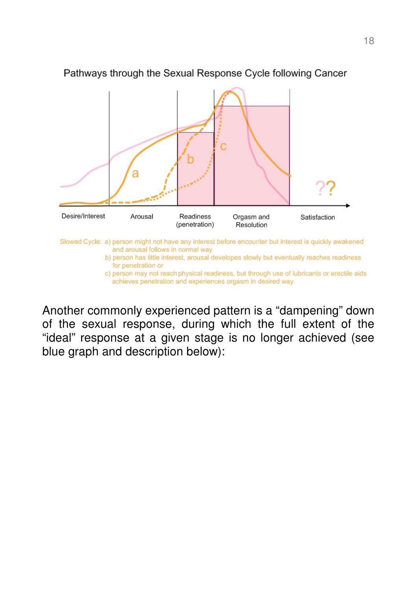

#### Pathways through the Sexual Response Cycle following Cancer

Another commonly experienced pattern is a "dampening" down of the sexual response, during which the full extent of the "ideal" response at a given stage is no longer achieved (see blue graph and description below):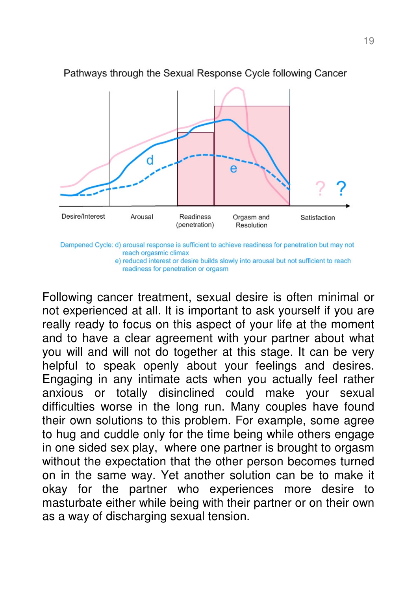

Pathways through the Sexual Response Cycle following Cancer

Following cancer treatment, sexual desire is often minimal or not experienced at all. It is important to ask yourself if you are really ready to focus on this aspect of your life at the moment and to have a clear agreement with your partner about what you will and will not do together at this stage. It can be very helpful to speak openly about your feelings and desires. Engaging in any intimate acts when you actually feel rather anxious or totally disinclined could make your sexual difficulties worse in the long run. Many couples have found their own solutions to this problem. For example, some agree to hug and cuddle only for the time being while others engage in one sided sex play, where one partner is brought to orgasm without the expectation that the other person becomes turned on in the same way. Yet another solution can be to make it okay for the partner who experiences more desire to masturbate either while being with their partner or on their own as a way of discharging sexual tension.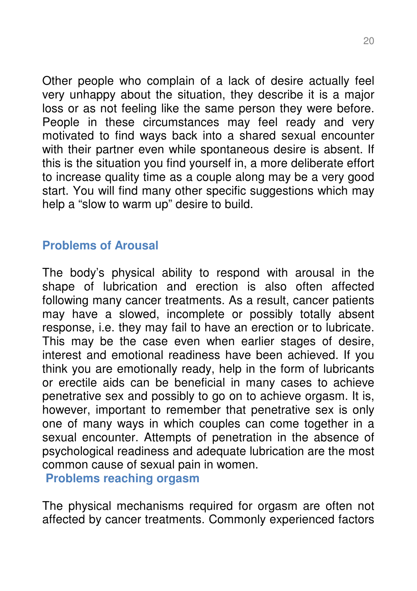Other people who complain of a lack of desire actually feel very unhappy about the situation, they describe it is a major loss or as not feeling like the same person they were before. People in these circumstances may feel ready and very motivated to find ways back into a shared sexual encounter with their partner even while spontaneous desire is absent. If this is the situation you find yourself in, a more deliberate effort to increase quality time as a couple along may be a very good start. You will find many other specific suggestions which may help a "slow to warm up" desire to build.

## **Problems of Arousal**

The body's physical ability to respond with arousal in the shape of lubrication and erection is also often affected following many cancer treatments. As a result, cancer patients may have a slowed, incomplete or possibly totally absent response, i.e. they may fail to have an erection or to lubricate. This may be the case even when earlier stages of desire, interest and emotional readiness have been achieved. If you think you are emotionally ready, help in the form of lubricants or erectile aids can be beneficial in many cases to achieve penetrative sex and possibly to go on to achieve orgasm. It is, however, important to remember that penetrative sex is only one of many ways in which couples can come together in a sexual encounter. Attempts of penetration in the absence of psychological readiness and adequate lubrication are the most common cause of sexual pain in women.

**Problems reaching orgasm** 

The physical mechanisms required for orgasm are often not affected by cancer treatments. Commonly experienced factors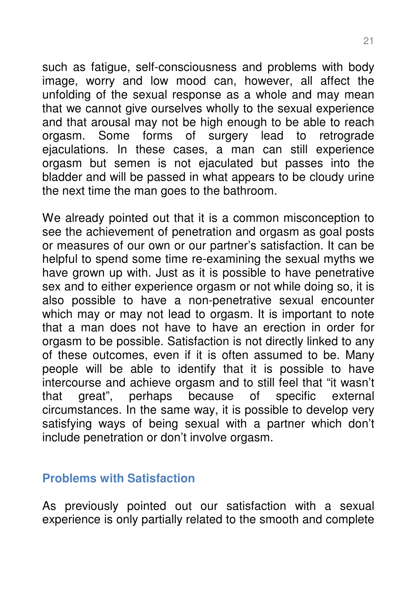such as fatigue, self-consciousness and problems with body image, worry and low mood can, however, all affect the unfolding of the sexual response as a whole and may mean that we cannot give ourselves wholly to the sexual experience and that arousal may not be high enough to be able to reach orgasm. Some forms of surgery lead to retrograde ejaculations. In these cases, a man can still experience orgasm but semen is not ejaculated but passes into the bladder and will be passed in what appears to be cloudy urine the next time the man goes to the bathroom.

We already pointed out that it is a common misconception to see the achievement of penetration and orgasm as goal posts or measures of our own or our partner's satisfaction. It can be helpful to spend some time re-examining the sexual myths we have grown up with. Just as it is possible to have penetrative sex and to either experience orgasm or not while doing so, it is also possible to have a non-penetrative sexual encounter which may or may not lead to orgasm. It is important to note that a man does not have to have an erection in order for orgasm to be possible. Satisfaction is not directly linked to any of these outcomes, even if it is often assumed to be. Many people will be able to identify that it is possible to have intercourse and achieve orgasm and to still feel that "it wasn't that great", perhaps because of specific external circumstances. In the same way, it is possible to develop very satisfying ways of being sexual with a partner which don't include penetration or don't involve orgasm.

### **Problems with Satisfaction**

As previously pointed out our satisfaction with a sexual experience is only partially related to the smooth and complete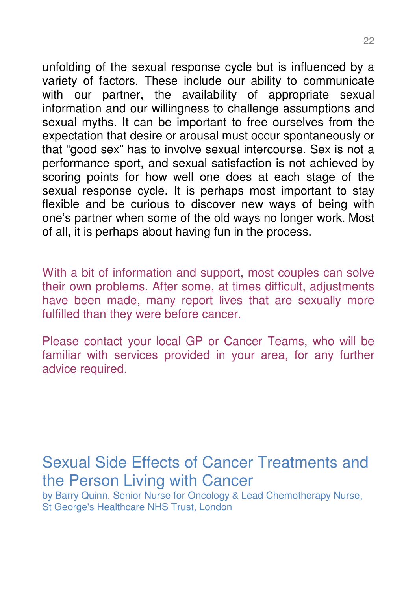unfolding of the sexual response cycle but is influenced by a variety of factors. These include our ability to communicate with our partner, the availability of appropriate sexual information and our willingness to challenge assumptions and sexual myths. It can be important to free ourselves from the expectation that desire or arousal must occur spontaneously or that "good sex" has to involve sexual intercourse. Sex is not a performance sport, and sexual satisfaction is not achieved by scoring points for how well one does at each stage of the sexual response cycle. It is perhaps most important to stay flexible and be curious to discover new ways of being with one's partner when some of the old ways no longer work. Most of all, it is perhaps about having fun in the process.

With a bit of information and support, most couples can solve their own problems. After some, at times difficult, adjustments have been made, many report lives that are sexually more fulfilled than they were before cancer.

Please contact your local GP or Cancer Teams, who will be familiar with services provided in your area, for any further advice required.

# Sexual Side Effects of Cancer Treatments and the Person Living with Cancer

by Barry Quinn, Senior Nurse for Oncology & Lead Chemotherapy Nurse, St George's Healthcare NHS Trust, London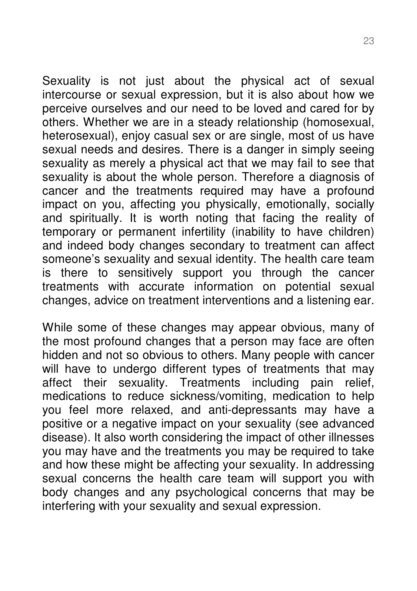Sexuality is not just about the physical act of sexual intercourse or sexual expression, but it is also about how we perceive ourselves and our need to be loved and cared for by others. Whether we are in a steady relationship (homosexual, heterosexual), enjoy casual sex or are single, most of us have sexual needs and desires. There is a danger in simply seeing sexuality as merely a physical act that we may fail to see that sexuality is about the whole person. Therefore a diagnosis of cancer and the treatments required may have a profound impact on you, affecting you physically, emotionally, socially and spiritually. It is worth noting that facing the reality of temporary or permanent infertility (inability to have children) and indeed body changes secondary to treatment can affect someone's sexuality and sexual identity. The health care team is there to sensitively support you through the cancer treatments with accurate information on potential sexual changes, advice on treatment interventions and a listening ear.

While some of these changes may appear obvious, many of the most profound changes that a person may face are often hidden and not so obvious to others. Many people with cancer will have to undergo different types of treatments that may affect their sexuality. Treatments including pain relief, medications to reduce sickness/vomiting, medication to help you feel more relaxed, and anti-depressants may have a positive or a negative impact on your sexuality (see advanced disease). It also worth considering the impact of other illnesses you may have and the treatments you may be required to take and how these might be affecting your sexuality. In addressing sexual concerns the health care team will support you with body changes and any psychological concerns that may be interfering with your sexuality and sexual expression.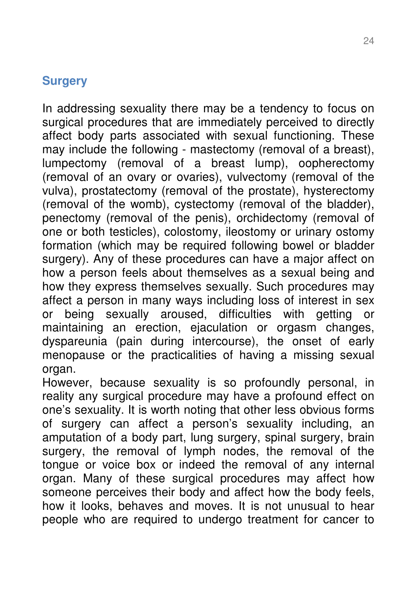## **Surgery**

In addressing sexuality there may be a tendency to focus on surgical procedures that are immediately perceived to directly affect body parts associated with sexual functioning. These may include the following - mastectomy (removal of a breast), lumpectomy (removal of a breast lump), oopherectomy (removal of an ovary or ovaries), vulvectomy (removal of the vulva), prostatectomy (removal of the prostate), hysterectomy (removal of the womb), cystectomy (removal of the bladder), penectomy (removal of the penis), orchidectomy (removal of one or both testicles), colostomy, ileostomy or urinary ostomy formation (which may be required following bowel or bladder surgery). Any of these procedures can have a major affect on how a person feels about themselves as a sexual being and how they express themselves sexually. Such procedures may affect a person in many ways including loss of interest in sex or being sexually aroused, difficulties with getting or maintaining an erection, ejaculation or orgasm changes, dyspareunia (pain during intercourse), the onset of early menopause or the practicalities of having a missing sexual organ.

However, because sexuality is so profoundly personal, in reality any surgical procedure may have a profound effect on one's sexuality. It is worth noting that other less obvious forms of surgery can affect a person's sexuality including, an amputation of a body part, lung surgery, spinal surgery, brain surgery, the removal of lymph nodes, the removal of the tongue or voice box or indeed the removal of any internal organ. Many of these surgical procedures may affect how someone perceives their body and affect how the body feels, how it looks, behaves and moves. It is not unusual to hear people who are required to undergo treatment for cancer to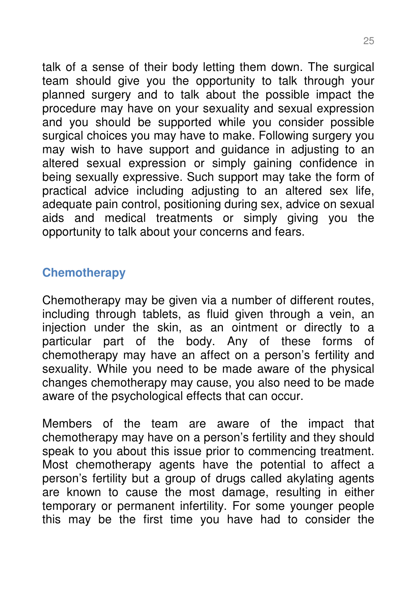talk of a sense of their body letting them down. The surgical team should give you the opportunity to talk through your planned surgery and to talk about the possible impact the procedure may have on your sexuality and sexual expression and you should be supported while you consider possible surgical choices you may have to make. Following surgery you may wish to have support and guidance in adjusting to an altered sexual expression or simply gaining confidence in being sexually expressive. Such support may take the form of practical advice including adjusting to an altered sex life, adequate pain control, positioning during sex, advice on sexual aids and medical treatments or simply giving you the opportunity to talk about your concerns and fears.

# **Chemotherapy**

Chemotherapy may be given via a number of different routes, including through tablets, as fluid given through a vein, an injection under the skin, as an ointment or directly to a particular part of the body. Any of these forms of chemotherapy may have an affect on a person's fertility and sexuality. While you need to be made aware of the physical changes chemotherapy may cause, you also need to be made aware of the psychological effects that can occur.

Members of the team are aware of the impact that chemotherapy may have on a person's fertility and they should speak to you about this issue prior to commencing treatment. Most chemotherapy agents have the potential to affect a person's fertility but a group of drugs called akylating agents are known to cause the most damage, resulting in either temporary or permanent infertility. For some younger people this may be the first time you have had to consider the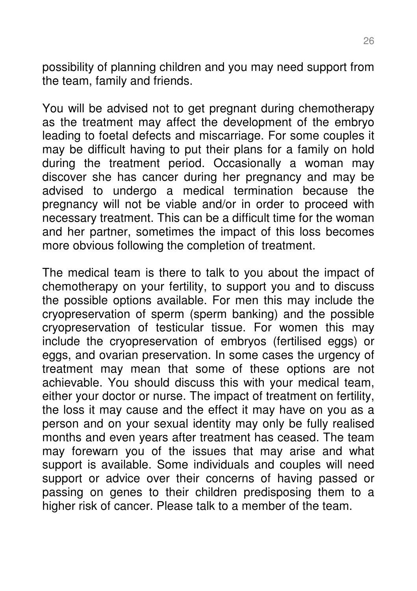possibility of planning children and you may need support from the team, family and friends.

You will be advised not to get pregnant during chemotherapy as the treatment may affect the development of the embryo leading to foetal defects and miscarriage. For some couples it may be difficult having to put their plans for a family on hold during the treatment period. Occasionally a woman may discover she has cancer during her pregnancy and may be advised to undergo a medical termination because the pregnancy will not be viable and/or in order to proceed with necessary treatment. This can be a difficult time for the woman and her partner, sometimes the impact of this loss becomes more obvious following the completion of treatment.

The medical team is there to talk to you about the impact of chemotherapy on your fertility, to support you and to discuss the possible options available. For men this may include the cryopreservation of sperm (sperm banking) and the possible cryopreservation of testicular tissue. For women this may include the cryopreservation of embryos (fertilised eggs) or eggs, and ovarian preservation. In some cases the urgency of treatment may mean that some of these options are not achievable. You should discuss this with your medical team, either your doctor or nurse. The impact of treatment on fertility, the loss it may cause and the effect it may have on you as a person and on your sexual identity may only be fully realised months and even years after treatment has ceased. The team may forewarn you of the issues that may arise and what support is available. Some individuals and couples will need support or advice over their concerns of having passed or passing on genes to their children predisposing them to a higher risk of cancer. Please talk to a member of the team.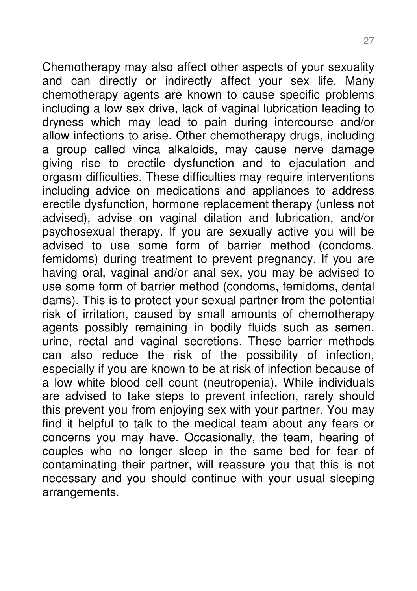Chemotherapy may also affect other aspects of your sexuality and can directly or indirectly affect your sex life. Many chemotherapy agents are known to cause specific problems including a low sex drive, lack of vaginal lubrication leading to dryness which may lead to pain during intercourse and/or allow infections to arise. Other chemotherapy drugs, including a group called vinca alkaloids, may cause nerve damage giving rise to erectile dysfunction and to ejaculation and orgasm difficulties. These difficulties may require interventions including advice on medications and appliances to address erectile dysfunction, hormone replacement therapy (unless not advised), advise on vaginal dilation and lubrication, and/or psychosexual therapy. If you are sexually active you will be advised to use some form of barrier method (condoms, femidoms) during treatment to prevent pregnancy. If you are having oral, vaginal and/or anal sex, you may be advised to use some form of barrier method (condoms, femidoms, dental dams). This is to protect your sexual partner from the potential risk of irritation, caused by small amounts of chemotherapy agents possibly remaining in bodily fluids such as semen, urine, rectal and vaginal secretions. These barrier methods can also reduce the risk of the possibility of infection, especially if you are known to be at risk of infection because of a low white blood cell count (neutropenia). While individuals are advised to take steps to prevent infection, rarely should this prevent you from enjoying sex with your partner. You may find it helpful to talk to the medical team about any fears or concerns you may have. Occasionally, the team, hearing of couples who no longer sleep in the same bed for fear of contaminating their partner, will reassure you that this is not necessary and you should continue with your usual sleeping arrangements.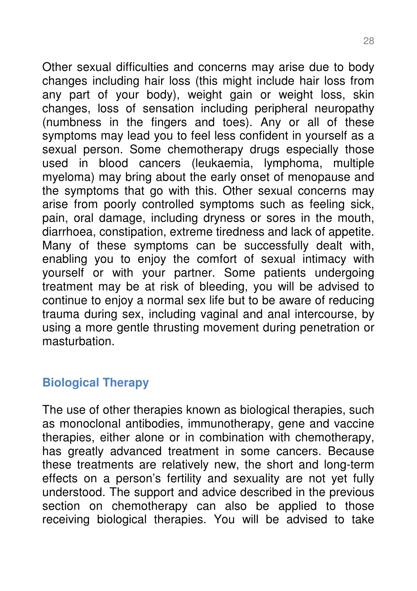Other sexual difficulties and concerns may arise due to body changes including hair loss (this might include hair loss from any part of your body), weight gain or weight loss, skin changes, loss of sensation including peripheral neuropathy (numbness in the fingers and toes). Any or all of these symptoms may lead you to feel less confident in yourself as a sexual person. Some chemotherapy drugs especially those used in blood cancers (leukaemia, lymphoma, multiple myeloma) may bring about the early onset of menopause and the symptoms that go with this. Other sexual concerns may arise from poorly controlled symptoms such as feeling sick, pain, oral damage, including dryness or sores in the mouth, diarrhoea, constipation, extreme tiredness and lack of appetite. Many of these symptoms can be successfully dealt with, enabling you to enjoy the comfort of sexual intimacy with yourself or with your partner. Some patients undergoing treatment may be at risk of bleeding, you will be advised to continue to enjoy a normal sex life but to be aware of reducing trauma during sex, including vaginal and anal intercourse, by using a more gentle thrusting movement during penetration or masturbation.

# **Biological Therapy**

The use of other therapies known as biological therapies, such as monoclonal antibodies, immunotherapy, gene and vaccine therapies, either alone or in combination with chemotherapy, has greatly advanced treatment in some cancers. Because these treatments are relatively new, the short and long-term effects on a person's fertility and sexuality are not yet fully understood. The support and advice described in the previous section on chemotherapy can also be applied to those receiving biological therapies. You will be advised to take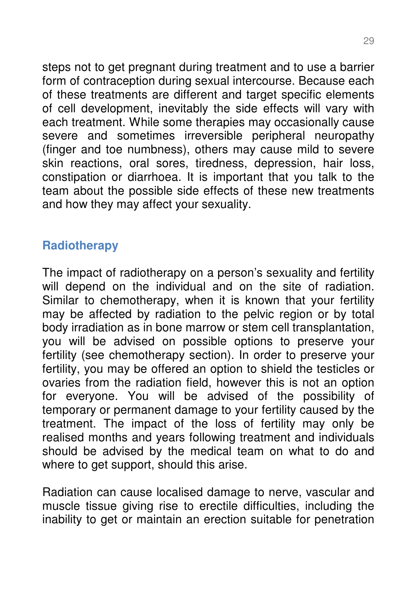steps not to get pregnant during treatment and to use a barrier form of contraception during sexual intercourse. Because each of these treatments are different and target specific elements of cell development, inevitably the side effects will vary with each treatment. While some therapies may occasionally cause severe and sometimes irreversible peripheral neuropathy (finger and toe numbness), others may cause mild to severe skin reactions, oral sores, tiredness, depression, hair loss, constipation or diarrhoea. It is important that you talk to the team about the possible side effects of these new treatments and how they may affect your sexuality.

# **Radiotherapy**

The impact of radiotherapy on a person's sexuality and fertility will depend on the individual and on the site of radiation. Similar to chemotherapy, when it is known that your fertility may be affected by radiation to the pelvic region or by total body irradiation as in bone marrow or stem cell transplantation, you will be advised on possible options to preserve your fertility (see chemotherapy section). In order to preserve your fertility, you may be offered an option to shield the testicles or ovaries from the radiation field, however this is not an option for everyone. You will be advised of the possibility of temporary or permanent damage to your fertility caused by the treatment. The impact of the loss of fertility may only be realised months and years following treatment and individuals should be advised by the medical team on what to do and where to get support, should this arise.

Radiation can cause localised damage to nerve, vascular and muscle tissue giving rise to erectile difficulties, including the inability to get or maintain an erection suitable for penetration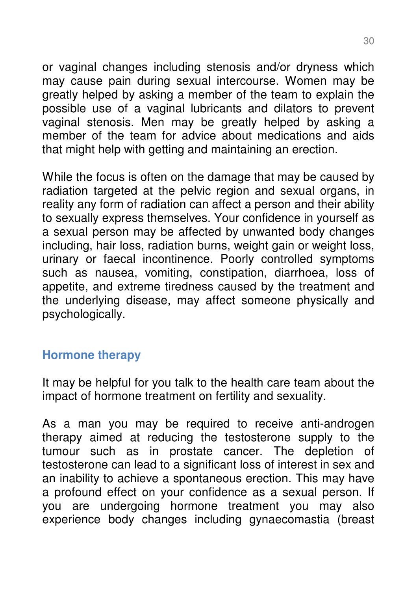or vaginal changes including stenosis and/or dryness which may cause pain during sexual intercourse. Women may be greatly helped by asking a member of the team to explain the possible use of a vaginal lubricants and dilators to prevent vaginal stenosis. Men may be greatly helped by asking a member of the team for advice about medications and aids that might help with getting and maintaining an erection.

While the focus is often on the damage that may be caused by radiation targeted at the pelvic region and sexual organs, in reality any form of radiation can affect a person and their ability to sexually express themselves. Your confidence in yourself as a sexual person may be affected by unwanted body changes including, hair loss, radiation burns, weight gain or weight loss, urinary or faecal incontinence. Poorly controlled symptoms such as nausea, vomiting, constipation, diarrhoea, loss of appetite, and extreme tiredness caused by the treatment and the underlying disease, may affect someone physically and psychologically.

### **Hormone therapy**

It may be helpful for you talk to the health care team about the impact of hormone treatment on fertility and sexuality.

As a man you may be required to receive anti-androgen therapy aimed at reducing the testosterone supply to the tumour such as in prostate cancer. The depletion of testosterone can lead to a significant loss of interest in sex and an inability to achieve a spontaneous erection. This may have a profound effect on your confidence as a sexual person. If you are undergoing hormone treatment you may also experience body changes including gynaecomastia (breast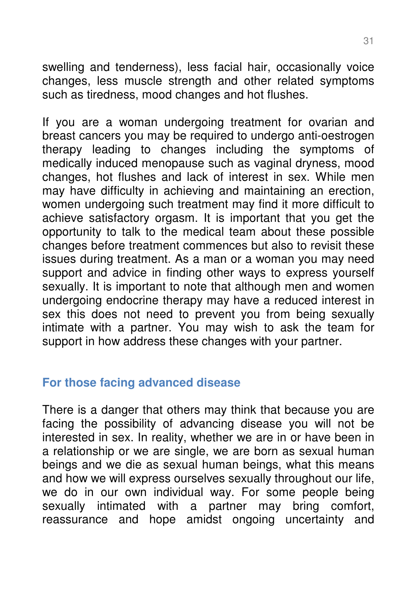swelling and tenderness), less facial hair, occasionally voice changes, less muscle strength and other related symptoms such as tiredness, mood changes and hot flushes.

If you are a woman undergoing treatment for ovarian and breast cancers you may be required to undergo anti-oestrogen therapy leading to changes including the symptoms of medically induced menopause such as vaginal dryness, mood changes, hot flushes and lack of interest in sex. While men may have difficulty in achieving and maintaining an erection, women undergoing such treatment may find it more difficult to achieve satisfactory orgasm. It is important that you get the opportunity to talk to the medical team about these possible changes before treatment commences but also to revisit these issues during treatment. As a man or a woman you may need support and advice in finding other ways to express yourself sexually. It is important to note that although men and women undergoing endocrine therapy may have a reduced interest in sex this does not need to prevent you from being sexually intimate with a partner. You may wish to ask the team for support in how address these changes with your partner.

### **For those facing advanced disease**

There is a danger that others may think that because you are facing the possibility of advancing disease you will not be interested in sex. In reality, whether we are in or have been in a relationship or we are single, we are born as sexual human beings and we die as sexual human beings, what this means and how we will express ourselves sexually throughout our life, we do in our own individual way. For some people being sexually intimated with a partner may bring comfort, reassurance and hope amidst ongoing uncertainty and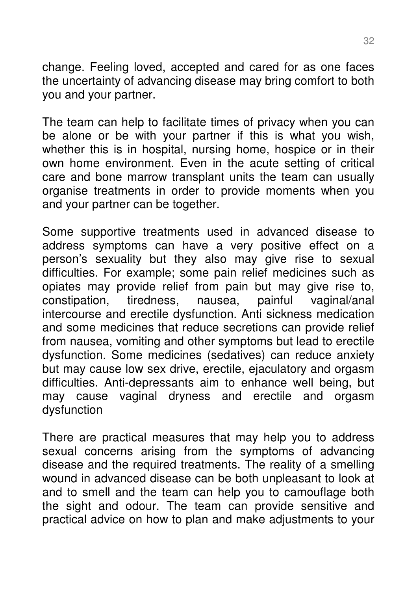change. Feeling loved, accepted and cared for as one faces the uncertainty of advancing disease may bring comfort to both you and your partner.

The team can help to facilitate times of privacy when you can be alone or be with your partner if this is what you wish, whether this is in hospital, nursing home, hospice or in their own home environment. Even in the acute setting of critical care and bone marrow transplant units the team can usually organise treatments in order to provide moments when you and your partner can be together.

Some supportive treatments used in advanced disease to address symptoms can have a very positive effect on a person's sexuality but they also may give rise to sexual difficulties. For example; some pain relief medicines such as opiates may provide relief from pain but may give rise to, constipation, tiredness, nausea, painful vaginal/anal tiredness, nausea, painful vaginal/anal intercourse and erectile dysfunction. Anti sickness medication and some medicines that reduce secretions can provide relief from nausea, vomiting and other symptoms but lead to erectile dysfunction. Some medicines (sedatives) can reduce anxiety but may cause low sex drive, erectile, ejaculatory and orgasm difficulties. Anti-depressants aim to enhance well being, but may cause vaginal dryness and erectile and orgasm dysfunction

There are practical measures that may help you to address sexual concerns arising from the symptoms of advancing disease and the required treatments. The reality of a smelling wound in advanced disease can be both unpleasant to look at and to smell and the team can help you to camouflage both the sight and odour. The team can provide sensitive and practical advice on how to plan and make adjustments to your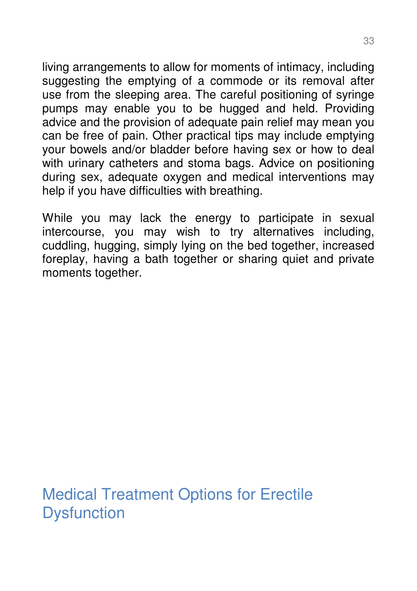living arrangements to allow for moments of intimacy, including suggesting the emptying of a commode or its removal after use from the sleeping area. The careful positioning of syringe pumps may enable you to be hugged and held. Providing advice and the provision of adequate pain relief may mean you can be free of pain. Other practical tips may include emptying your bowels and/or bladder before having sex or how to deal with urinary catheters and stoma bags. Advice on positioning during sex, adequate oxygen and medical interventions may help if you have difficulties with breathing.

While you may lack the energy to participate in sexual intercourse, you may wish to try alternatives including, cuddling, hugging, simply lying on the bed together, increased foreplay, having a bath together or sharing quiet and private moments together.

Medical Treatment Options for Erectile **Dysfunction**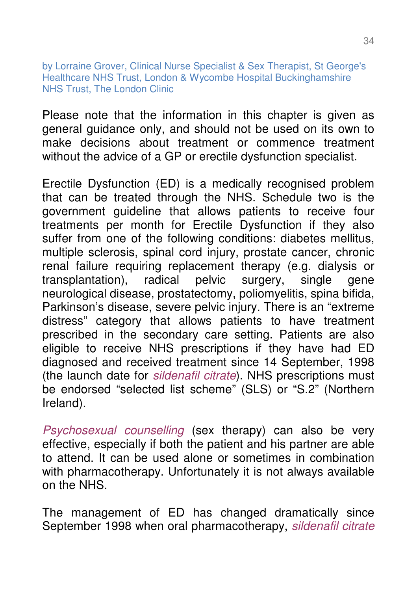by Lorraine Grover, Clinical Nurse Specialist & Sex Therapist, St George's Healthcare NHS Trust, London & Wycombe Hospital Buckinghamshire NHS Trust, The London Clinic

Please note that the information in this chapter is given as general guidance only, and should not be used on its own to make decisions about treatment or commence treatment without the advice of a GP or erectile dysfunction specialist.

Erectile Dysfunction (ED) is a medically recognised problem that can be treated through the NHS. Schedule two is the government guideline that allows patients to receive four treatments per month for Erectile Dysfunction if they also suffer from one of the following conditions: diabetes mellitus, multiple sclerosis, spinal cord injury, prostate cancer, chronic renal failure requiring replacement therapy (e.g. dialysis or transplantation), radical pelvic surgery, single gene neurological disease, prostatectomy, poliomyelitis, spina bifida, Parkinson's disease, severe pelvic injury. There is an "extreme distress" category that allows patients to have treatment prescribed in the secondary care setting. Patients are also eligible to receive NHS prescriptions if they have had ED diagnosed and received treatment since 14 September, 1998 (the launch date for sildenafil citrate). NHS prescriptions must be endorsed "selected list scheme" (SLS) or "S.2" (Northern Ireland).

Psychosexual counselling (sex therapy) can also be very effective, especially if both the patient and his partner are able to attend. It can be used alone or sometimes in combination with pharmacotherapy. Unfortunately it is not always available on the NHS.

The management of ED has changed dramatically since September 1998 when oral pharmacotherapy, sildenafil citrate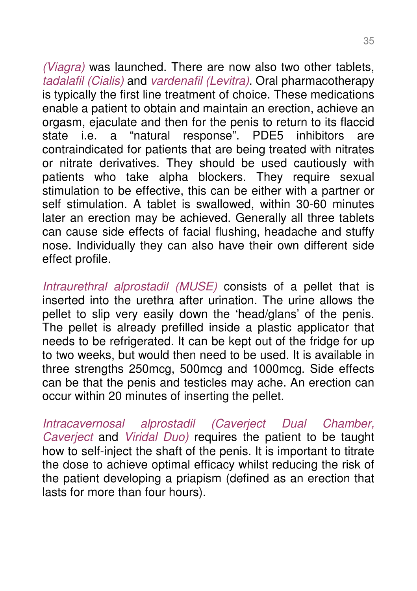(Viagra) was launched. There are now also two other tablets, tadalafil (Cialis) and vardenafil (Levitra). Oral pharmacotherapy is typically the first line treatment of choice. These medications enable a patient to obtain and maintain an erection, achieve an orgasm, ejaculate and then for the penis to return to its flaccid state i.e. a "natural response". PDE5 inhibitors are contraindicated for patients that are being treated with nitrates or nitrate derivatives. They should be used cautiously with patients who take alpha blockers. They require sexual stimulation to be effective, this can be either with a partner or self stimulation. A tablet is swallowed, within 30-60 minutes later an erection may be achieved. Generally all three tablets can cause side effects of facial flushing, headache and stuffy nose. Individually they can also have their own different side effect profile.

Intraurethral alprostadil (MUSE) consists of a pellet that is inserted into the urethra after urination. The urine allows the pellet to slip very easily down the 'head/glans' of the penis. The pellet is already prefilled inside a plastic applicator that needs to be refrigerated. It can be kept out of the fridge for up to two weeks, but would then need to be used. It is available in three strengths 250mcg, 500mcg and 1000mcg. Side effects can be that the penis and testicles may ache. An erection can occur within 20 minutes of inserting the pellet.

Intracavernosal alprostadil (Caverject Dual Chamber, Caverject and Viridal Duo) requires the patient to be taught how to self-inject the shaft of the penis. It is important to titrate the dose to achieve optimal efficacy whilst reducing the risk of the patient developing a priapism (defined as an erection that lasts for more than four hours).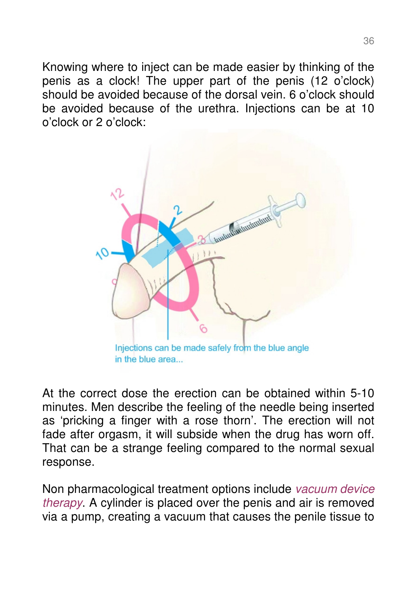Knowing where to inject can be made easier by thinking of the penis as a clock! The upper part of the penis (12 o'clock) should be avoided because of the dorsal vein. 6 o'clock should be avoided because of the urethra. Injections can be at 10 o'clock or 2 o'clock:



in the blue area...

At the correct dose the erection can be obtained within 5-10 minutes. Men describe the feeling of the needle being inserted as 'pricking a finger with a rose thorn'. The erection will not fade after orgasm, it will subside when the drug has worn off. That can be a strange feeling compared to the normal sexual response.

Non pharmacological treatment options include vacuum device therapy. A cylinder is placed over the penis and air is removed via a pump, creating a vacuum that causes the penile tissue to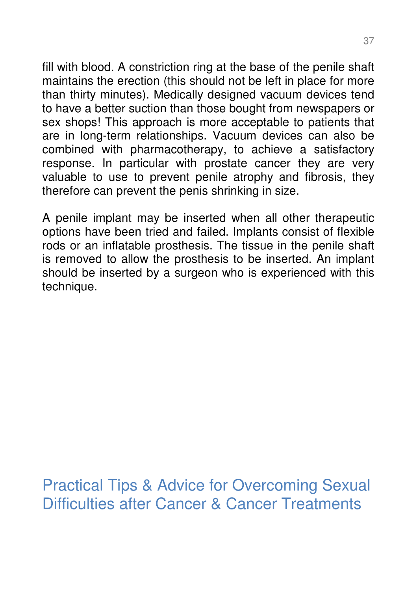fill with blood. A constriction ring at the base of the penile shaft maintains the erection (this should not be left in place for more than thirty minutes). Medically designed vacuum devices tend to have a better suction than those bought from newspapers or sex shops! This approach is more acceptable to patients that are in long-term relationships. Vacuum devices can also be combined with pharmacotherapy, to achieve a satisfactory response. In particular with prostate cancer they are very valuable to use to prevent penile atrophy and fibrosis, they therefore can prevent the penis shrinking in size.

A penile implant may be inserted when all other therapeutic options have been tried and failed. Implants consist of flexible rods or an inflatable prosthesis. The tissue in the penile shaft is removed to allow the prosthesis to be inserted. An implant should be inserted by a surgeon who is experienced with this technique.

Practical Tips & Advice for Overcoming Sexual Difficulties after Cancer & Cancer Treatments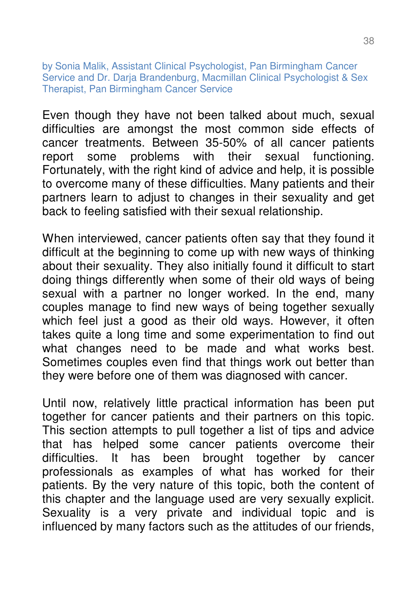by Sonia Malik, Assistant Clinical Psychologist, Pan Birmingham Cancer Service and Dr. Daria Brandenburg, Macmillan Clinical Psychologist & Sex Therapist, Pan Birmingham Cancer Service

Even though they have not been talked about much, sexual difficulties are amongst the most common side effects of cancer treatments. Between 35-50% of all cancer patients report some problems with their sexual functioning. Fortunately, with the right kind of advice and help, it is possible to overcome many of these difficulties. Many patients and their partners learn to adjust to changes in their sexuality and get back to feeling satisfied with their sexual relationship.

When interviewed, cancer patients often say that they found it difficult at the beginning to come up with new ways of thinking about their sexuality. They also initially found it difficult to start doing things differently when some of their old ways of being sexual with a partner no longer worked. In the end, many couples manage to find new ways of being together sexually which feel just a good as their old ways. However, it often takes quite a long time and some experimentation to find out what changes need to be made and what works best. Sometimes couples even find that things work out better than they were before one of them was diagnosed with cancer.

Until now, relatively little practical information has been put together for cancer patients and their partners on this topic. This section attempts to pull together a list of tips and advice that has helped some cancer patients overcome their difficulties. It has been brought together by cancer professionals as examples of what has worked for their patients. By the very nature of this topic, both the content of this chapter and the language used are very sexually explicit. Sexuality is a very private and individual topic and is influenced by many factors such as the attitudes of our friends,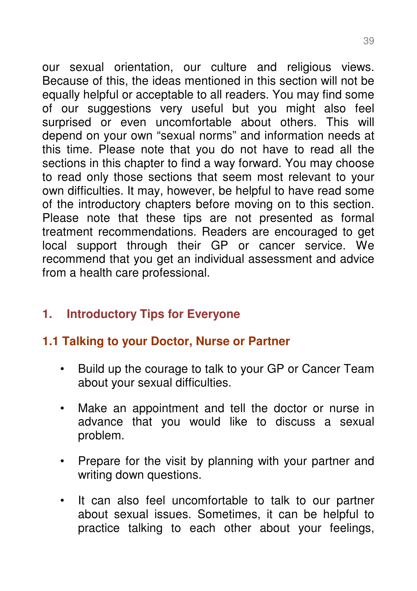our sexual orientation, our culture and religious views. Because of this, the ideas mentioned in this section will not be equally helpful or acceptable to all readers. You may find some of our suggestions very useful but you might also feel surprised or even uncomfortable about others. This will depend on your own "sexual norms" and information needs at this time. Please note that you do not have to read all the sections in this chapter to find a way forward. You may choose to read only those sections that seem most relevant to your own difficulties. It may, however, be helpful to have read some of the introductory chapters before moving on to this section. Please note that these tips are not presented as formal treatment recommendations. Readers are encouraged to get local support through their GP or cancer service. We recommend that you get an individual assessment and advice from a health care professional.

## **1. Introductory Tips for Everyone**

# **1.1 Talking to your Doctor, Nurse or Partner**

- Build up the courage to talk to your GP or Cancer Team about your sexual difficulties.
- Make an appointment and tell the doctor or nurse in advance that you would like to discuss a sexual problem.
- Prepare for the visit by planning with your partner and writing down questions.
- It can also feel uncomfortable to talk to our partner about sexual issues. Sometimes, it can be helpful to practice talking to each other about your feelings,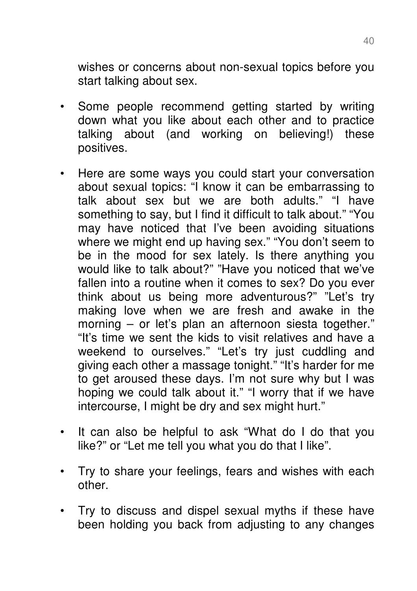wishes or concerns about non-sexual topics before you start talking about sex.

- Some people recommend getting started by writing down what you like about each other and to practice talking about (and working on believing!) these positives.
- Here are some ways you could start your conversation about sexual topics: "I know it can be embarrassing to talk about sex but we are both adults." "I have something to say, but I find it difficult to talk about." "You may have noticed that I've been avoiding situations where we might end up having sex." "You don't seem to be in the mood for sex lately. Is there anything you would like to talk about?" "Have you noticed that we've fallen into a routine when it comes to sex? Do you ever think about us being more adventurous?" "Let's try making love when we are fresh and awake in the morning – or let's plan an afternoon siesta together." "It's time we sent the kids to visit relatives and have a weekend to ourselves." "Let's try just cuddling and giving each other a massage tonight." "It's harder for me to get aroused these days. I'm not sure why but I was hoping we could talk about it." "I worry that if we have intercourse, I might be dry and sex might hurt."
- It can also be helpful to ask "What do I do that you like?" or "Let me tell you what you do that I like".
- Try to share your feelings, fears and wishes with each other.
- Try to discuss and dispel sexual myths if these have been holding you back from adjusting to any changes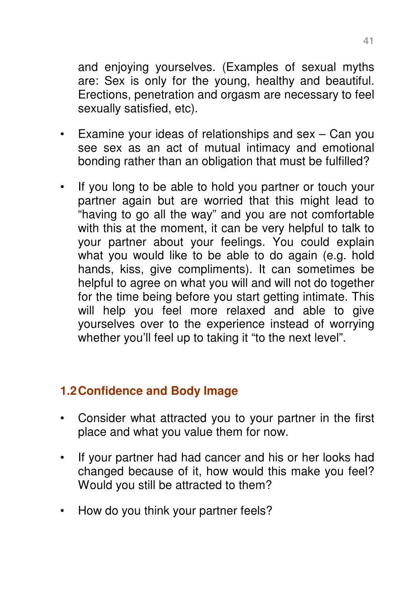and enjoying yourselves. (Examples of sexual myths are: Sex is only for the young, healthy and beautiful. Erections, penetration and orgasm are necessary to feel sexually satisfied, etc).

- Examine your ideas of relationships and sex Can you see sex as an act of mutual intimacy and emotional bonding rather than an obligation that must be fulfilled?
- If you long to be able to hold you partner or touch your partner again but are worried that this might lead to "having to go all the way" and you are not comfortable with this at the moment, it can be very helpful to talk to your partner about your feelings. You could explain what you would like to be able to do again (e.g. hold hands, kiss, give compliments). It can sometimes be helpful to agree on what you will and will not do together for the time being before you start getting intimate. This will help you feel more relaxed and able to give yourselves over to the experience instead of worrying whether you'll feel up to taking it "to the next level".

## **1.2 Confidence and Body Image**

- Consider what attracted you to your partner in the first place and what you value them for now.
- If your partner had had cancer and his or her looks had changed because of it, how would this make you feel? Would you still be attracted to them?
- How do you think your partner feels?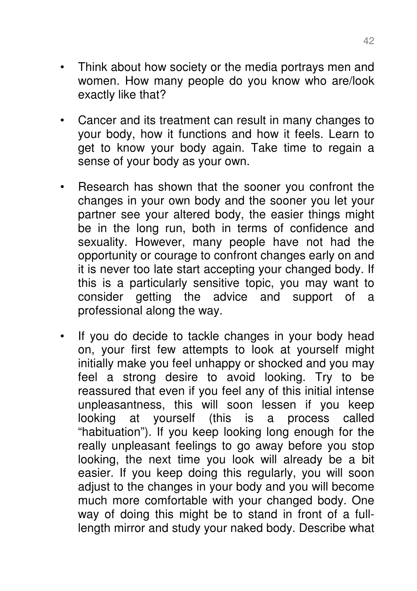- Think about how society or the media portrays men and women. How many people do you know who are/look exactly like that?
- Cancer and its treatment can result in many changes to your body, how it functions and how it feels. Learn to get to know your body again. Take time to regain a sense of your body as your own.
- Research has shown that the sooner you confront the changes in your own body and the sooner you let your partner see your altered body, the easier things might be in the long run, both in terms of confidence and sexuality. However, many people have not had the opportunity or courage to confront changes early on and it is never too late start accepting your changed body. If this is a particularly sensitive topic, you may want to consider getting the advice and support of a professional along the way.
- If you do decide to tackle changes in your body head on, your first few attempts to look at yourself might initially make you feel unhappy or shocked and you may feel a strong desire to avoid looking. Try to be reassured that even if you feel any of this initial intense unpleasantness, this will soon lessen if you keep looking at yourself (this is a process called "habituation"). If you keep looking long enough for the really unpleasant feelings to go away before you stop looking, the next time you look will already be a bit easier. If you keep doing this regularly, you will soon adjust to the changes in your body and you will become much more comfortable with your changed body. One way of doing this might be to stand in front of a fulllength mirror and study your naked body. Describe what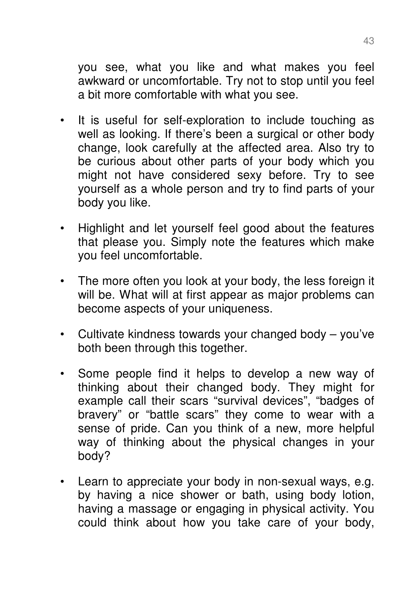you see, what you like and what makes you feel awkward or uncomfortable. Try not to stop until you feel a bit more comfortable with what you see.

- It is useful for self-exploration to include touching as well as looking. If there's been a surgical or other body change, look carefully at the affected area. Also try to be curious about other parts of your body which you might not have considered sexy before. Try to see yourself as a whole person and try to find parts of your body you like.
- Highlight and let yourself feel good about the features that please you. Simply note the features which make you feel uncomfortable.
- The more often you look at your body, the less foreign it will be. What will at first appear as major problems can become aspects of your uniqueness.
- Cultivate kindness towards your changed body you've both been through this together.
- Some people find it helps to develop a new way of thinking about their changed body. They might for example call their scars "survival devices", "badges of bravery" or "battle scars" they come to wear with a sense of pride. Can you think of a new, more helpful way of thinking about the physical changes in your body?
- Learn to appreciate your body in non-sexual ways, e.g. by having a nice shower or bath, using body lotion, having a massage or engaging in physical activity. You could think about how you take care of your body,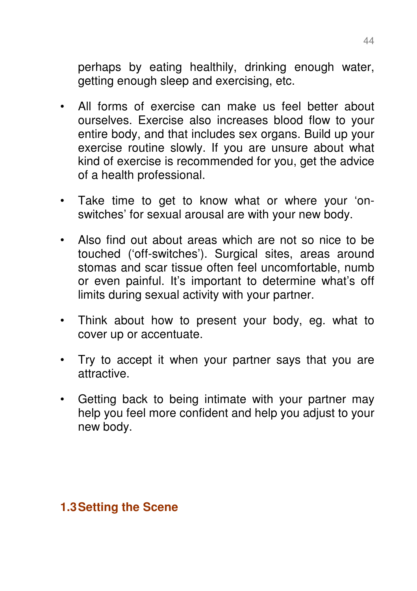perhaps by eating healthily, drinking enough water, getting enough sleep and exercising, etc.

- All forms of exercise can make us feel better about ourselves. Exercise also increases blood flow to your entire body, and that includes sex organs. Build up your exercise routine slowly. If you are unsure about what kind of exercise is recommended for you, get the advice of a health professional.
- Take time to get to know what or where your 'onswitches' for sexual arousal are with your new body.
- Also find out about areas which are not so nice to be touched ('off-switches'). Surgical sites, areas around stomas and scar tissue often feel uncomfortable, numb or even painful. It's important to determine what's off limits during sexual activity with your partner.
- Think about how to present your body, eg. what to cover up or accentuate.
- Try to accept it when your partner says that you are attractive.
- Getting back to being intimate with your partner may help you feel more confident and help you adjust to your new body.

#### **1.3 Setting the Scene**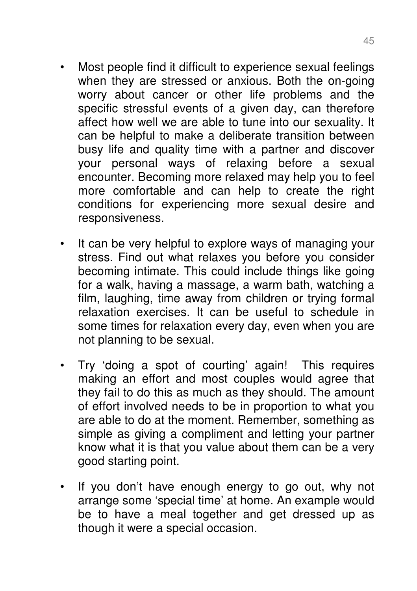- Most people find it difficult to experience sexual feelings when they are stressed or anxious. Both the on-going worry about cancer or other life problems and the specific stressful events of a given day, can therefore affect how well we are able to tune into our sexuality. It can be helpful to make a deliberate transition between busy life and quality time with a partner and discover your personal ways of relaxing before a sexual encounter. Becoming more relaxed may help you to feel more comfortable and can help to create the right conditions for experiencing more sexual desire and responsiveness.
- It can be very helpful to explore ways of managing your stress. Find out what relaxes you before you consider becoming intimate. This could include things like going for a walk, having a massage, a warm bath, watching a film, laughing, time away from children or trying formal relaxation exercises. It can be useful to schedule in some times for relaxation every day, even when you are not planning to be sexual.
- Try 'doing a spot of courting' again! This requires making an effort and most couples would agree that they fail to do this as much as they should. The amount of effort involved needs to be in proportion to what you are able to do at the moment. Remember, something as simple as giving a compliment and letting your partner know what it is that you value about them can be a very good starting point.
- If you don't have enough energy to go out, why not arrange some 'special time' at home. An example would be to have a meal together and get dressed up as though it were a special occasion.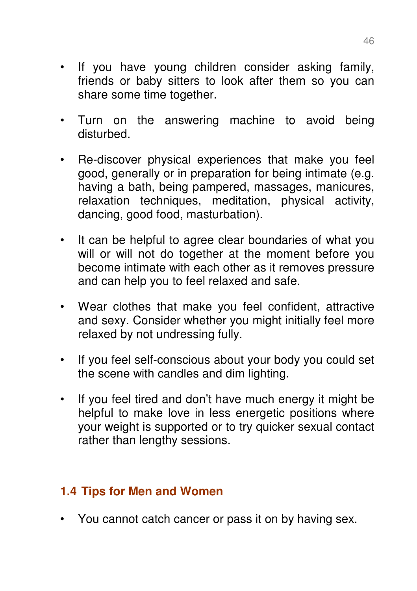- If you have young children consider asking family, friends or baby sitters to look after them so you can share some time together.
- Turn on the answering machine to avoid being disturbed.
- Re-discover physical experiences that make you feel good, generally or in preparation for being intimate (e.g. having a bath, being pampered, massages, manicures, relaxation techniques, meditation, physical activity, dancing, good food, masturbation).
- It can be helpful to agree clear boundaries of what you will or will not do together at the moment before you become intimate with each other as it removes pressure and can help you to feel relaxed and safe.
- Wear clothes that make you feel confident, attractive and sexy. Consider whether you might initially feel more relaxed by not undressing fully.
- If you feel self-conscious about your body you could set the scene with candles and dim lighting.
- If you feel tired and don't have much energy it might be helpful to make love in less energetic positions where your weight is supported or to try quicker sexual contact rather than lengthy sessions.

# **1.4 Tips for Men and Women**

• You cannot catch cancer or pass it on by having sex.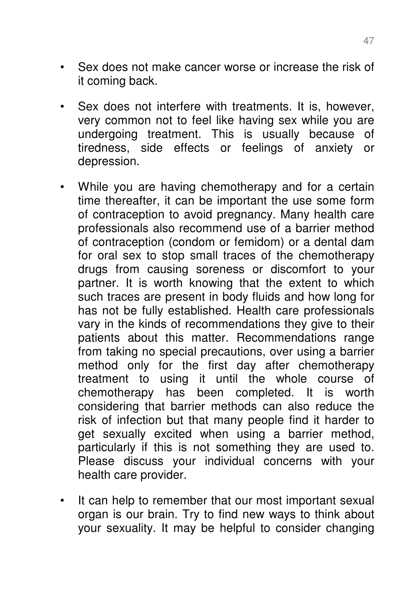- Sex does not make cancer worse or increase the risk of it coming back.
- Sex does not interfere with treatments. It is, however, very common not to feel like having sex while you are undergoing treatment. This is usually because of tiredness, side effects or feelings of anxiety or depression.
- While you are having chemotherapy and for a certain time thereafter, it can be important the use some form of contraception to avoid pregnancy. Many health care professionals also recommend use of a barrier method of contraception (condom or femidom) or a dental dam for oral sex to stop small traces of the chemotherapy drugs from causing soreness or discomfort to your partner. It is worth knowing that the extent to which such traces are present in body fluids and how long for has not be fully established. Health care professionals vary in the kinds of recommendations they give to their patients about this matter. Recommendations range from taking no special precautions, over using a barrier method only for the first day after chemotherapy treatment to using it until the whole course of chemotherapy has been completed. It is worth considering that barrier methods can also reduce the risk of infection but that many people find it harder to get sexually excited when using a barrier method, particularly if this is not something they are used to. Please discuss your individual concerns with your health care provider.
- It can help to remember that our most important sexual organ is our brain. Try to find new ways to think about your sexuality. It may be helpful to consider changing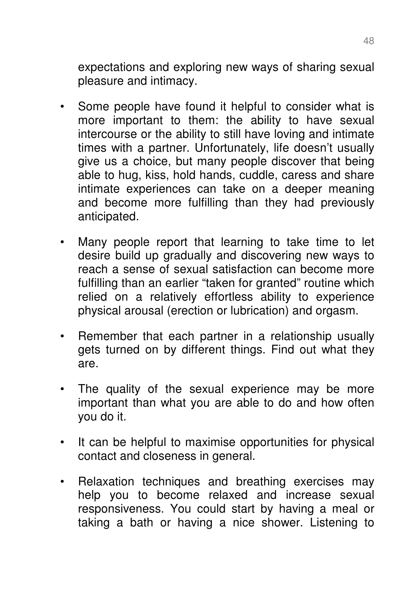expectations and exploring new ways of sharing sexual pleasure and intimacy.

- Some people have found it helpful to consider what is more important to them: the ability to have sexual intercourse or the ability to still have loving and intimate times with a partner. Unfortunately, life doesn't usually give us a choice, but many people discover that being able to hug, kiss, hold hands, cuddle, caress and share intimate experiences can take on a deeper meaning and become more fulfilling than they had previously anticipated.
- Many people report that learning to take time to let desire build up gradually and discovering new ways to reach a sense of sexual satisfaction can become more fulfilling than an earlier "taken for granted" routine which relied on a relatively effortless ability to experience physical arousal (erection or lubrication) and orgasm.
- Remember that each partner in a relationship usually gets turned on by different things. Find out what they are.
- The quality of the sexual experience may be more important than what you are able to do and how often you do it.
- It can be helpful to maximise opportunities for physical contact and closeness in general.
- Relaxation techniques and breathing exercises may help you to become relaxed and increase sexual responsiveness. You could start by having a meal or taking a bath or having a nice shower. Listening to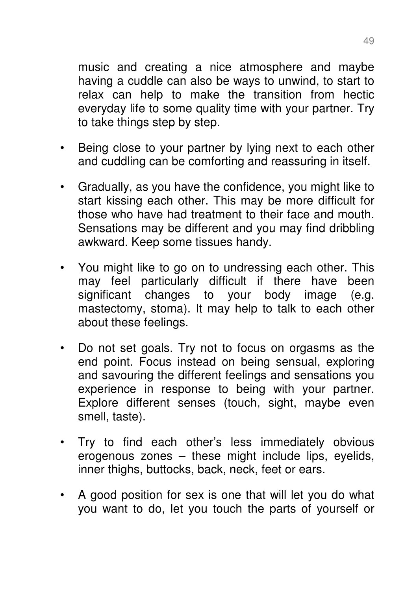music and creating a nice atmosphere and maybe having a cuddle can also be ways to unwind, to start to relax can help to make the transition from hectic everyday life to some quality time with your partner. Try to take things step by step.

- Being close to your partner by lying next to each other and cuddling can be comforting and reassuring in itself.
- Gradually, as you have the confidence, you might like to start kissing each other. This may be more difficult for those who have had treatment to their face and mouth. Sensations may be different and you may find dribbling awkward. Keep some tissues handy.
- You might like to go on to undressing each other. This may feel particularly difficult if there have been significant changes to your body image (e.g. mastectomy, stoma). It may help to talk to each other about these feelings.
- Do not set goals. Try not to focus on orgasms as the end point. Focus instead on being sensual, exploring and savouring the different feelings and sensations you experience in response to being with your partner. Explore different senses (touch, sight, maybe even smell, taste).
- Try to find each other's less immediately obvious erogenous zones – these might include lips, eyelids, inner thighs, buttocks, back, neck, feet or ears.
- A good position for sex is one that will let you do what you want to do, let you touch the parts of yourself or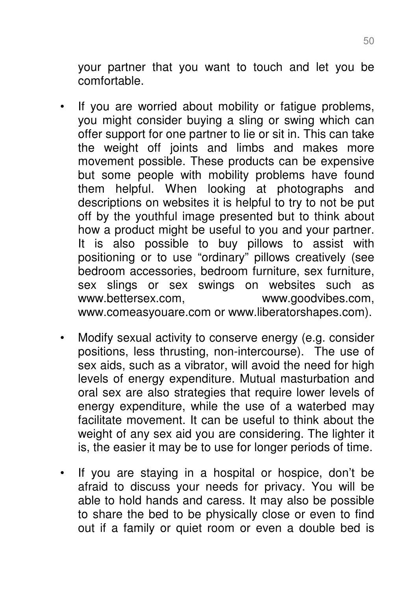your partner that you want to touch and let you be comfortable.

- If you are worried about mobility or fatigue problems, you might consider buying a sling or swing which can offer support for one partner to lie or sit in. This can take the weight off joints and limbs and makes more movement possible. These products can be expensive but some people with mobility problems have found them helpful. When looking at photographs and descriptions on websites it is helpful to try to not be put off by the youthful image presented but to think about how a product might be useful to you and your partner. It is also possible to buy pillows to assist with positioning or to use "ordinary" pillows creatively (see bedroom accessories, bedroom furniture, sex furniture, sex slings or sex swings on websites such as www.bettersex.com, www.goodvibes.com, www.comeasyouare.com or www.liberatorshapes.com).
- Modify sexual activity to conserve energy (e.g. consider positions, less thrusting, non-intercourse). The use of sex aids, such as a vibrator, will avoid the need for high levels of energy expenditure. Mutual masturbation and oral sex are also strategies that require lower levels of energy expenditure, while the use of a waterbed may facilitate movement. It can be useful to think about the weight of any sex aid you are considering. The lighter it is, the easier it may be to use for longer periods of time.
- If you are staying in a hospital or hospice, don't be afraid to discuss your needs for privacy. You will be able to hold hands and caress. It may also be possible to share the bed to be physically close or even to find out if a family or quiet room or even a double bed is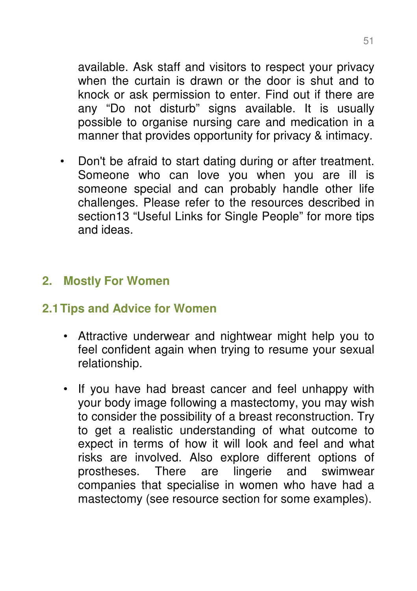available. Ask staff and visitors to respect your privacy when the curtain is drawn or the door is shut and to knock or ask permission to enter. Find out if there are any "Do not disturb" signs available. It is usually possible to organise nursing care and medication in a manner that provides opportunity for privacy & intimacy.

• Don't be afraid to start dating during or after treatment. Someone who can love you when you are ill is someone special and can probably handle other life challenges. Please refer to the resources described in section13 "Useful Links for Single People" for more tips and ideas.

## **2. Mostly For Women**

#### **2.1 Tips and Advice for Women**

- Attractive underwear and nightwear might help you to feel confident again when trying to resume your sexual relationship.
- If you have had breast cancer and feel unhappy with your body image following a mastectomy, you may wish to consider the possibility of a breast reconstruction. Try to get a realistic understanding of what outcome to expect in terms of how it will look and feel and what risks are involved. Also explore different options of prostheses. There are lingerie and swimwear companies that specialise in women who have had a mastectomy (see resource section for some examples).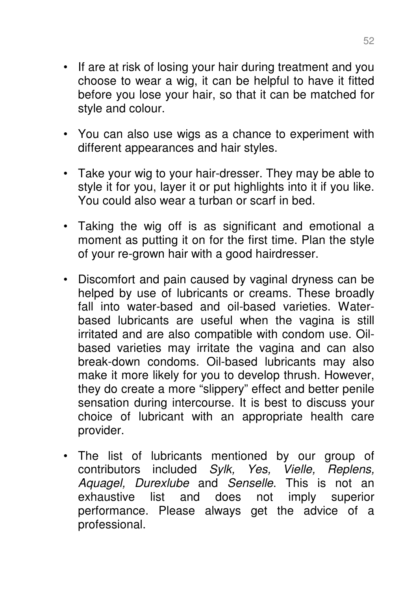- If are at risk of losing your hair during treatment and you choose to wear a wig, it can be helpful to have it fitted before you lose your hair, so that it can be matched for style and colour.
- You can also use wigs as a chance to experiment with different appearances and hair styles.
- Take your wig to your hair-dresser. They may be able to style it for you, layer it or put highlights into it if you like. You could also wear a turban or scarf in bed.
- Taking the wig off is as significant and emotional a moment as putting it on for the first time. Plan the style of your re-grown hair with a good hairdresser.
- Discomfort and pain caused by vaginal dryness can be helped by use of lubricants or creams. These broadly fall into water-based and oil-based varieties. Waterbased lubricants are useful when the vagina is still irritated and are also compatible with condom use. Oilbased varieties may irritate the vagina and can also break-down condoms. Oil-based lubricants may also make it more likely for you to develop thrush. However, they do create a more "slippery" effect and better penile sensation during intercourse. It is best to discuss your choice of lubricant with an appropriate health care provider.
- The list of lubricants mentioned by our group of contributors included Sylk, Yes, Vielle, Replens, Aquagel, Durexlube and Senselle. This is not an exhaustive list and does not imply superior performance. Please always get the advice of a professional.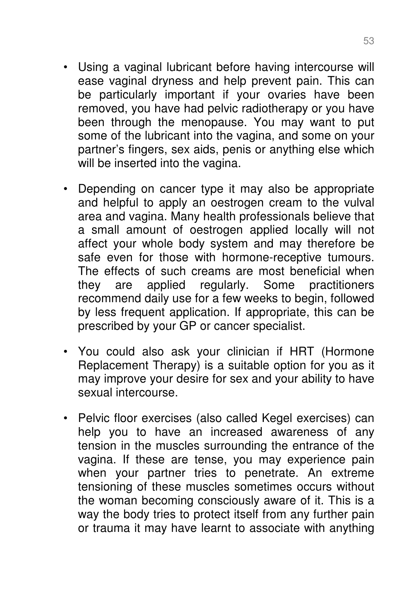- Using a vaginal lubricant before having intercourse will ease vaginal dryness and help prevent pain. This can be particularly important if your ovaries have been removed, you have had pelvic radiotherapy or you have been through the menopause. You may want to put some of the lubricant into the vagina, and some on your partner's fingers, sex aids, penis or anything else which will be inserted into the vagina.
- Depending on cancer type it may also be appropriate and helpful to apply an oestrogen cream to the vulval area and vagina. Many health professionals believe that a small amount of oestrogen applied locally will not affect your whole body system and may therefore be safe even for those with hormone-receptive tumours. The effects of such creams are most beneficial when they are applied regularly. Some practitioners recommend daily use for a few weeks to begin, followed by less frequent application. If appropriate, this can be prescribed by your GP or cancer specialist.
- You could also ask your clinician if HRT (Hormone Replacement Therapy) is a suitable option for you as it may improve your desire for sex and your ability to have sexual intercourse.
- Pelvic floor exercises (also called Kegel exercises) can help you to have an increased awareness of any tension in the muscles surrounding the entrance of the vagina. If these are tense, you may experience pain when your partner tries to penetrate. An extreme tensioning of these muscles sometimes occurs without the woman becoming consciously aware of it. This is a way the body tries to protect itself from any further pain or trauma it may have learnt to associate with anything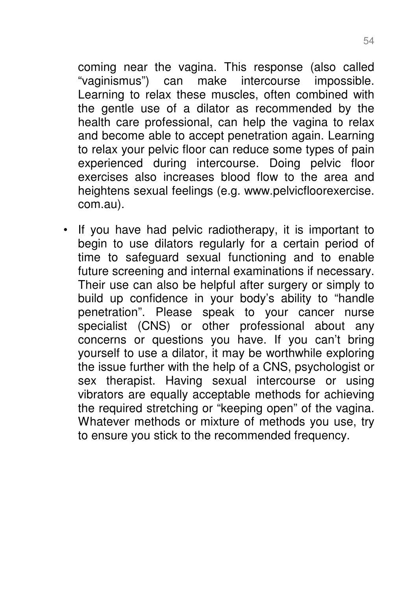coming near the vagina. This response (also called "vaginismus") can make intercourse impossible. Learning to relax these muscles, often combined with the gentle use of a dilator as recommended by the health care professional, can help the vagina to relax and become able to accept penetration again. Learning to relax your pelvic floor can reduce some types of pain experienced during intercourse. Doing pelvic floor exercises also increases blood flow to the area and heightens sexual feelings (e.g. www.pelvicfloorexercise. com.au).

• If you have had pelvic radiotherapy, it is important to begin to use dilators regularly for a certain period of time to safeguard sexual functioning and to enable future screening and internal examinations if necessary. Their use can also be helpful after surgery or simply to build up confidence in your body's ability to "handle penetration". Please speak to your cancer nurse specialist (CNS) or other professional about any concerns or questions you have. If you can't bring yourself to use a dilator, it may be worthwhile exploring the issue further with the help of a CNS, psychologist or sex therapist. Having sexual intercourse or using vibrators are equally acceptable methods for achieving the required stretching or "keeping open" of the vagina. Whatever methods or mixture of methods you use, try to ensure you stick to the recommended frequency.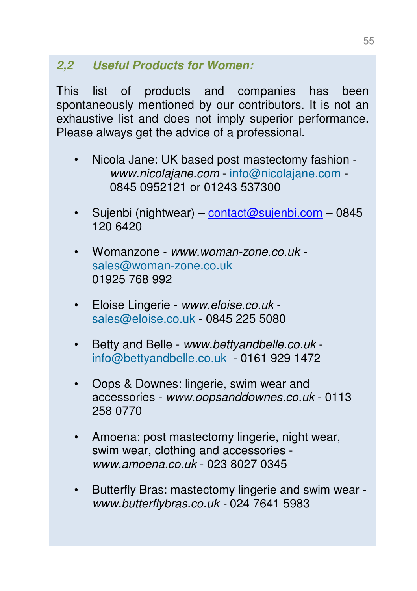# **2,2 Useful Products for Women:**

This list of products and companies has been spontaneously mentioned by our contributors. It is not an exhaustive list and does not imply superior performance. Please always get the advice of a professional.

- Nicola Jane: UK based post mastectomy fashion www.nicolajane.com - info@nicolajane.com - 0845 0952121 or 01243 537300
- Sujenbi (nightwear) contact@sujenbi.com 0845 120 6420
- Womanzone www.woman-zone.co.uk sales@woman-zone.co.uk 01925 768 992
- Eloise Lingerie www.eloise.co.uk sales@eloise.co.uk - 0845 225 5080
- Betty and Belle www.bettyandbelle.co.uk info@bettyandbelle.co.uk - 0161 929 1472
- Oops & Downes: lingerie, swim wear and accessories - www.oopsanddownes.co.uk - 0113 258 0770
- Amoena: post mastectomy lingerie, night wear, swim wear, clothing and accessories www.amoena.co.uk - 023 8027 0345
- Butterfly Bras: mastectomy lingerie and swim wear www.butterflybras.co.uk - 024 7641 5983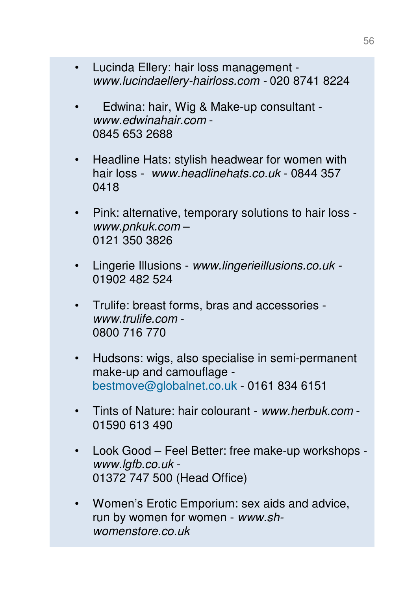- Lucinda Ellery: hair loss management www.lucindaellery-hairloss.com - 020 8741 8224
- Edwina: hair, Wig & Make-up consultant www.edwinahair.com - 0845 653 2688
- Headline Hats: stylish headwear for women with hair loss - www.headlinehats.co.uk - 0844 357 0418
- Pink: alternative, temporary solutions to hair loss www.pnkuk.com – 0121 350 3826
- Lingerie Illusions www.lingerieillusions.co.uk 01902 482 524
- Trulife: breast forms, bras and accessories www.trulife.com - 0800 716 770
- Hudsons: wigs, also specialise in semi-permanent make-up and camouflage bestmove@globalnet.co.uk - 0161 834 6151
- Tints of Nature: hair colourant www.herbuk.com 01590 613 490
- Look Good Feel Better: free make-up workshops www.lgfb.co.uk - 01372 747 500 (Head Office)
- Women's Erotic Emporium: sex aids and advice, run by women for women - www.shwomenstore.co.uk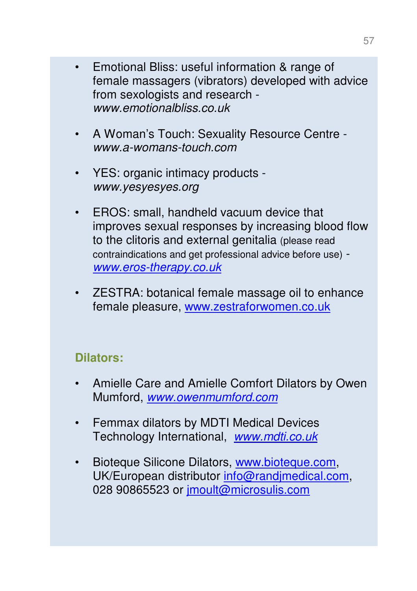- Emotional Bliss: useful information & range of female massagers (vibrators) developed with advice from sexologists and research www.emotionalbliss.co.uk
- A Woman's Touch: Sexuality Resource Centre www.a-womans-touch.com
- YES: organic intimacy products www.yesyesyes.org
- EROS: small, handheld vacuum device that improves sexual responses by increasing blood flow to the clitoris and external genitalia (please read contraindications and get professional advice before use) www.eros-therapy.co.uk
- ZESTRA: botanical female massage oil to enhance female pleasure, www.zestraforwomen.co.uk

## **Dilators:**

- Amielle Care and Amielle Comfort Dilators by Owen Mumford, www.owenmumford.com
- Femmax dilators by MDTI Medical Devices Technology International, www.mdti.co.uk
- Bioteque Silicone Dilators, www.bioteque.com, UK/European distributor info@randjmedical.com, 028 90865523 or jmoult@microsulis.com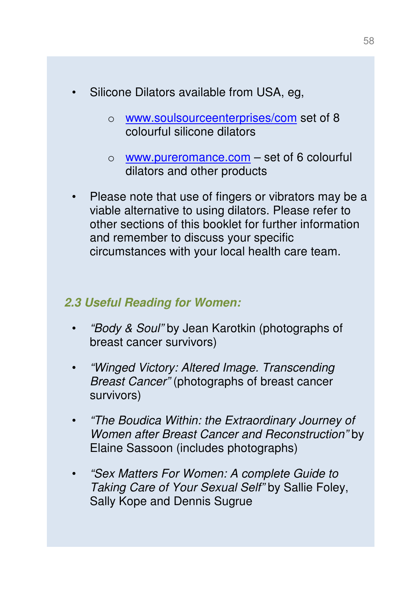- Silicone Dilators available from USA, eg,
	- o www.soulsourceenterprises/com set of 8 colourful silicone dilators
	- $\circ$  www.pureromance.com set of 6 colourful dilators and other products
- Please note that use of fingers or vibrators may be a viable alternative to using dilators. Please refer to other sections of this booklet for further information and remember to discuss your specific circumstances with your local health care team.

#### **2.3 Useful Reading for Women:**

- "Body & Soul" by Jean Karotkin (photographs of breast cancer survivors)
- "Winged Victory: Altered Image. Transcending Breast Cancer" (photographs of breast cancer survivors)
- "The Boudica Within: the Extraordinary Journey of Women after Breast Cancer and Reconstruction" by Elaine Sassoon (includes photographs)
- "Sex Matters For Women: A complete Guide to Taking Care of Your Sexual Self" by Sallie Foley, Sally Kope and Dennis Sugrue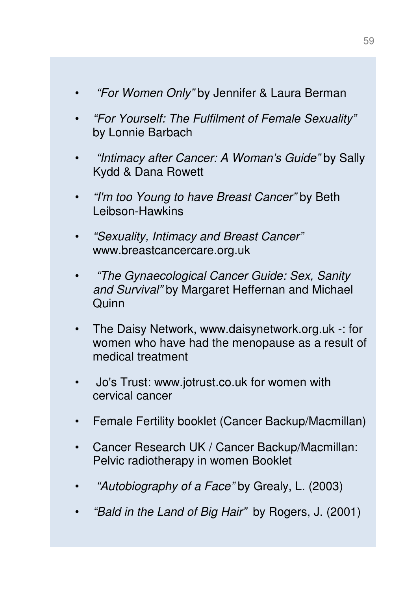- "For Women Only" by Jennifer & Laura Berman
- "For Yourself: The Fulfilment of Female Sexuality" by Lonnie Barbach
- "Intimacy after Cancer: A Woman's Guide" by Sally Kydd & Dana Rowett
- "I'm too Young to have Breast Cancer" by Beth Leibson-Hawkins
- "Sexuality, Intimacy and Breast Cancer" www.breastcancercare.org.uk
- "The Gynaecological Cancer Guide: Sex, Sanity and Survival" by Margaret Heffernan and Michael **Quinn**
- The Daisy Network, www.daisynetwork.org.uk -: for women who have had the menopause as a result of medical treatment
- Jo's Trust: www.jotrust.co.uk for women with cervical cancer
- Female Fertility booklet (Cancer Backup/Macmillan)
- Cancer Research UK / Cancer Backup/Macmillan: Pelvic radiotherapy in women Booklet
- "Autobiography of a Face" by Grealy, L. (2003)
- "Bald in the Land of Big Hair" by Rogers, J. (2001)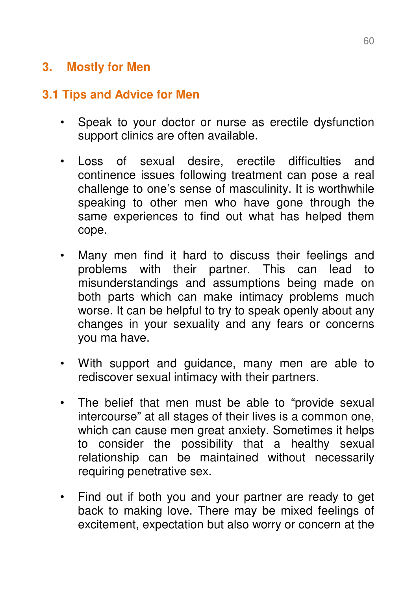## **3. Mostly for Men**

## **3.1 Tips and Advice for Men**

- Speak to your doctor or nurse as erectile dysfunction support clinics are often available.
- Loss of sexual desire, erectile difficulties and continence issues following treatment can pose a real challenge to one's sense of masculinity. It is worthwhile speaking to other men who have gone through the same experiences to find out what has helped them cope.
- Many men find it hard to discuss their feelings and problems with their partner. This can lead to misunderstandings and assumptions being made on both parts which can make intimacy problems much worse. It can be helpful to try to speak openly about any changes in your sexuality and any fears or concerns you ma have.
- With support and guidance, many men are able to rediscover sexual intimacy with their partners.
- The belief that men must be able to "provide sexual intercourse" at all stages of their lives is a common one, which can cause men great anxiety. Sometimes it helps to consider the possibility that a healthy sexual relationship can be maintained without necessarily requiring penetrative sex.
- Find out if both you and your partner are ready to get back to making love. There may be mixed feelings of excitement, expectation but also worry or concern at the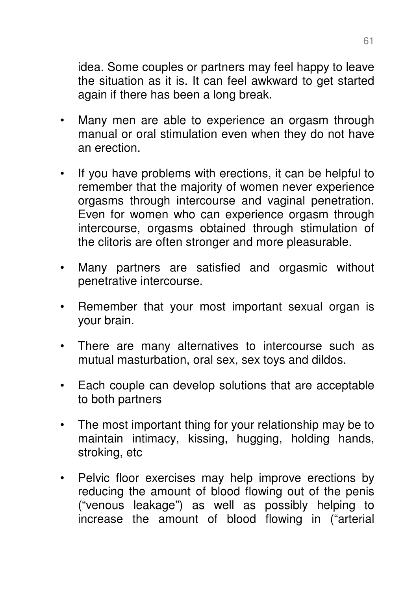idea. Some couples or partners may feel happy to leave the situation as it is. It can feel awkward to get started again if there has been a long break.

- Many men are able to experience an orgasm through manual or oral stimulation even when they do not have an erection.
- If you have problems with erections, it can be helpful to remember that the majority of women never experience orgasms through intercourse and vaginal penetration. Even for women who can experience orgasm through intercourse, orgasms obtained through stimulation of the clitoris are often stronger and more pleasurable.
- Many partners are satisfied and orgasmic without penetrative intercourse.
- Remember that your most important sexual organ is your brain.
- There are many alternatives to intercourse such as mutual masturbation, oral sex, sex toys and dildos.
- Each couple can develop solutions that are acceptable to both partners
- The most important thing for your relationship may be to maintain intimacy, kissing, hugging, holding hands, stroking, etc
- Pelvic floor exercises may help improve erections by reducing the amount of blood flowing out of the penis ("venous leakage") as well as possibly helping to increase the amount of blood flowing in ("arterial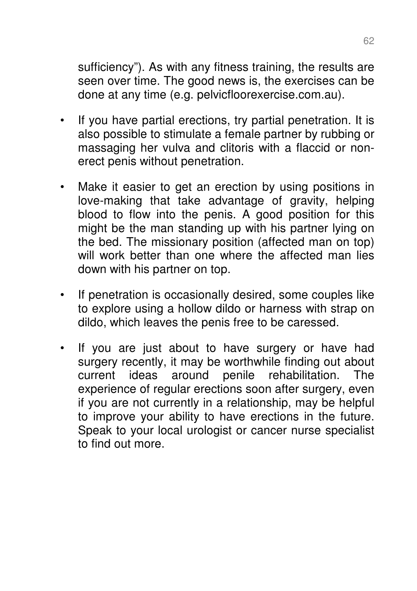sufficiency"). As with any fitness training, the results are seen over time. The good news is, the exercises can be done at any time (e.g. pelvicfloorexercise.com.au).

- If you have partial erections, try partial penetration. It is also possible to stimulate a female partner by rubbing or massaging her vulva and clitoris with a flaccid or nonerect penis without penetration.
- Make it easier to get an erection by using positions in love-making that take advantage of gravity, helping blood to flow into the penis. A good position for this might be the man standing up with his partner lying on the bed. The missionary position (affected man on top) will work better than one where the affected man lies down with his partner on top.
- If penetration is occasionally desired, some couples like to explore using a hollow dildo or harness with strap on dildo, which leaves the penis free to be caressed.
- If you are just about to have surgery or have had surgery recently, it may be worthwhile finding out about current ideas around penile rehabilitation. The experience of regular erections soon after surgery, even if you are not currently in a relationship, may be helpful to improve your ability to have erections in the future. Speak to your local urologist or cancer nurse specialist to find out more.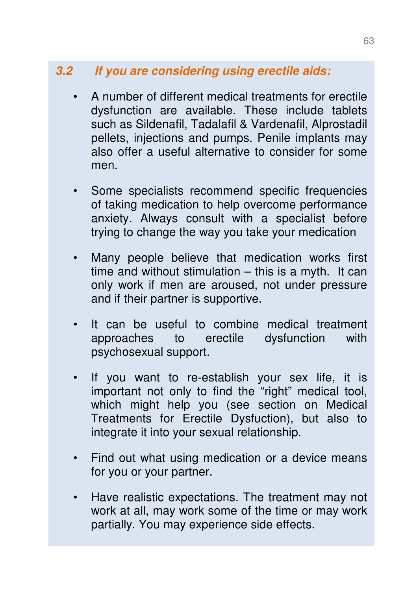## **3.2 If you are considering using erectile aids:**

- A number of different medical treatments for erectile dysfunction are available. These include tablets such as Sildenafil, Tadalafil & Vardenafil, Alprostadil pellets, injections and pumps. Penile implants may also offer a useful alternative to consider for some men.
- Some specialists recommend specific frequencies of taking medication to help overcome performance anxiety. Always consult with a specialist before trying to change the way you take your medication
- Many people believe that medication works first time and without stimulation – this is a myth. It can only work if men are aroused, not under pressure and if their partner is supportive.
- It can be useful to combine medical treatment approaches to erectile dysfunction with psychosexual support.
- If you want to re-establish your sex life, it is important not only to find the "right" medical tool, which might help you (see section on Medical Treatments for Erectile Dysfuction), but also to integrate it into your sexual relationship.
- Find out what using medication or a device means for you or your partner.
- Have realistic expectations. The treatment may not work at all, may work some of the time or may work partially. You may experience side effects.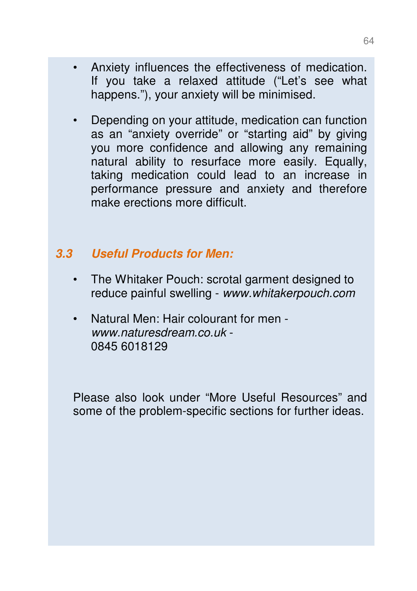- Anxiety influences the effectiveness of medication. If you take a relaxed attitude ("Let's see what happens."), your anxiety will be minimised.
- Depending on your attitude, medication can function as an "anxiety override" or "starting aid" by giving you more confidence and allowing any remaining natural ability to resurface more easily. Equally, taking medication could lead to an increase in performance pressure and anxiety and therefore make erections more difficult.

## **3.3 Useful Products for Men:**

- The Whitaker Pouch: scrotal garment designed to reduce painful swelling - www.whitakerpouch.com
- Natural Men: Hair colourant for men www.naturesdream.co.uk - 0845 6018129

Please also look under "More Useful Resources" and some of the problem-specific sections for further ideas.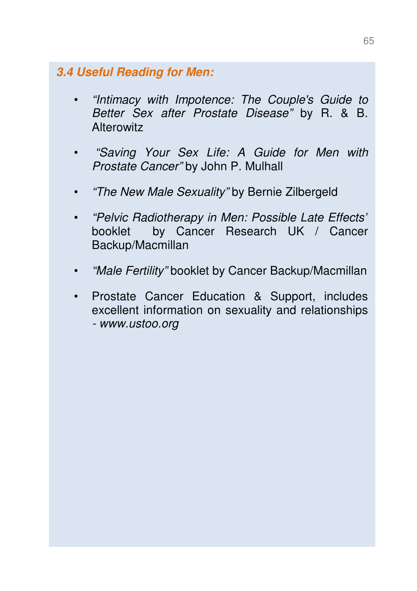#### **3.4 Useful Reading for Men:**

- "Intimacy with Impotence: The Couple's Guide to Better Sex after Prostate Disease" by R. & B. **Alterowitz**
- "Saving Your Sex Life: A Guide for Men with Prostate Cancer" by John P. Mulhall
- "The New Male Sexuality" by Bernie Zilbergeld
- "Pelvic Radiotherapy in Men: Possible Late Effects" booklet by Cancer Research UK / Cancer Backup/Macmillan
- "Male Fertility" booklet by Cancer Backup/Macmillan
- Prostate Cancer Education & Support, includes excellent information on sexuality and relationships - www.ustoo.org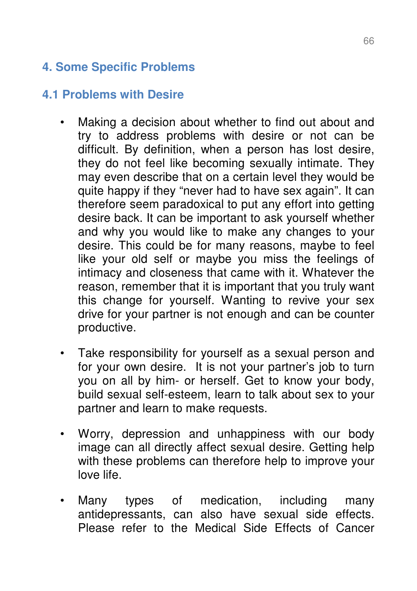# **4. Some Specific Problems**

## **4.1 Problems with Desire**

- Making a decision about whether to find out about and try to address problems with desire or not can be difficult. By definition, when a person has lost desire, they do not feel like becoming sexually intimate. They may even describe that on a certain level they would be quite happy if they "never had to have sex again". It can therefore seem paradoxical to put any effort into getting desire back. It can be important to ask yourself whether and why you would like to make any changes to your desire. This could be for many reasons, maybe to feel like your old self or maybe you miss the feelings of intimacy and closeness that came with it. Whatever the reason, remember that it is important that you truly want this change for yourself. Wanting to revive your sex drive for your partner is not enough and can be counter productive.
- Take responsibility for yourself as a sexual person and for your own desire. It is not your partner's job to turn you on all by him- or herself. Get to know your body, build sexual self-esteem, learn to talk about sex to your partner and learn to make requests.
- Worry, depression and unhappiness with our body image can all directly affect sexual desire. Getting help with these problems can therefore help to improve your love life.
- Many types of medication, including many antidepressants, can also have sexual side effects. Please refer to the Medical Side Effects of Cancer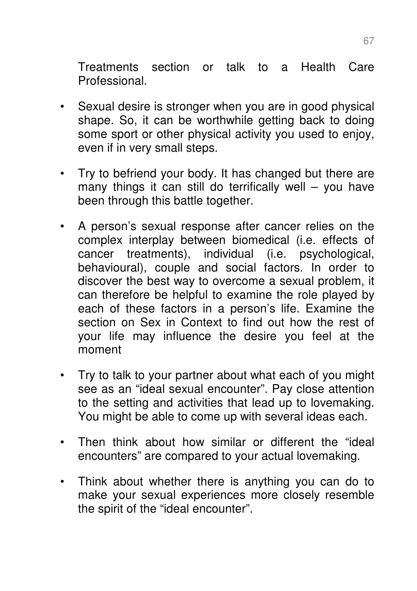Treatments section or talk to a Health Care Professional.

- Sexual desire is stronger when you are in good physical shape. So, it can be worthwhile getting back to doing some sport or other physical activity you used to enjoy, even if in very small steps.
- Try to befriend your body. It has changed but there are many things it can still do terrifically well – you have been through this battle together.
- A person's sexual response after cancer relies on the complex interplay between biomedical (i.e. effects of cancer treatments), individual (i.e. psychological, behavioural), couple and social factors. In order to discover the best way to overcome a sexual problem, it can therefore be helpful to examine the role played by each of these factors in a person's life. Examine the section on Sex in Context to find out how the rest of your life may influence the desire you feel at the moment
- Try to talk to your partner about what each of you might see as an "ideal sexual encounter". Pay close attention to the setting and activities that lead up to lovemaking. You might be able to come up with several ideas each.
- Then think about how similar or different the "ideal encounters" are compared to your actual lovemaking.
- Think about whether there is anything you can do to make your sexual experiences more closely resemble the spirit of the "ideal encounter".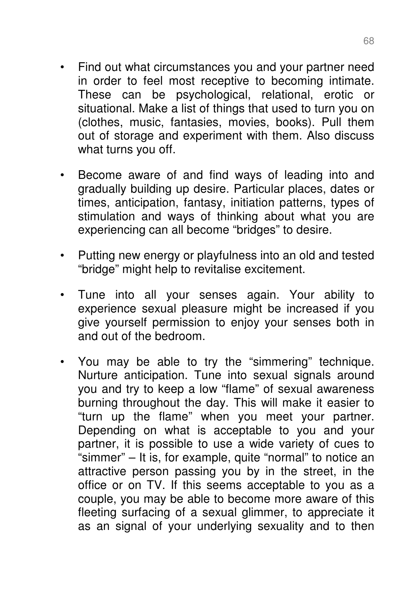- Find out what circumstances you and your partner need in order to feel most receptive to becoming intimate. These can be psychological, relational, erotic or situational. Make a list of things that used to turn you on (clothes, music, fantasies, movies, books). Pull them out of storage and experiment with them. Also discuss what turns you off.
- Become aware of and find ways of leading into and gradually building up desire. Particular places, dates or times, anticipation, fantasy, initiation patterns, types of stimulation and ways of thinking about what you are experiencing can all become "bridges" to desire.
- Putting new energy or playfulness into an old and tested "bridge" might help to revitalise excitement.
- Tune into all your senses again. Your ability to experience sexual pleasure might be increased if you give yourself permission to enjoy your senses both in and out of the bedroom.
- You may be able to try the "simmering" technique. Nurture anticipation. Tune into sexual signals around you and try to keep a low "flame" of sexual awareness burning throughout the day. This will make it easier to "turn up the flame" when you meet your partner. Depending on what is acceptable to you and your partner, it is possible to use a wide variety of cues to "simmer" – It is, for example, quite "normal" to notice an attractive person passing you by in the street, in the office or on TV. If this seems acceptable to you as a couple, you may be able to become more aware of this fleeting surfacing of a sexual glimmer, to appreciate it as an signal of your underlying sexuality and to then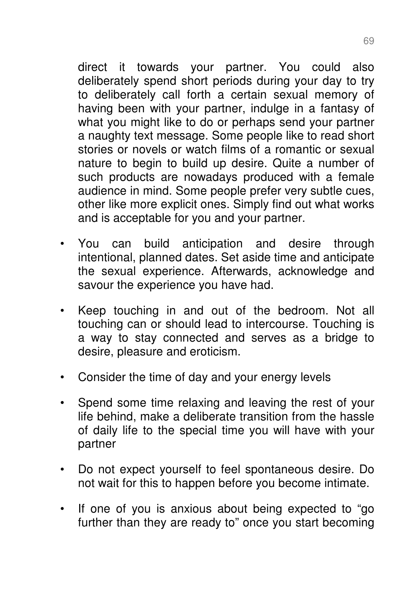direct it towards your partner. You could also deliberately spend short periods during your day to try to deliberately call forth a certain sexual memory of having been with your partner, indulge in a fantasy of what you might like to do or perhaps send your partner a naughty text message. Some people like to read short stories or novels or watch films of a romantic or sexual nature to begin to build up desire. Quite a number of such products are nowadays produced with a female audience in mind. Some people prefer very subtle cues, other like more explicit ones. Simply find out what works and is acceptable for you and your partner.

- You can build anticipation and desire through intentional, planned dates. Set aside time and anticipate the sexual experience. Afterwards, acknowledge and savour the experience you have had.
- Keep touching in and out of the bedroom. Not all touching can or should lead to intercourse. Touching is a way to stay connected and serves as a bridge to desire, pleasure and eroticism.
- Consider the time of day and your energy levels
- Spend some time relaxing and leaving the rest of your life behind, make a deliberate transition from the hassle of daily life to the special time you will have with your partner
- Do not expect yourself to feel spontaneous desire. Do not wait for this to happen before you become intimate.
- If one of you is anxious about being expected to "go further than they are ready to" once you start becoming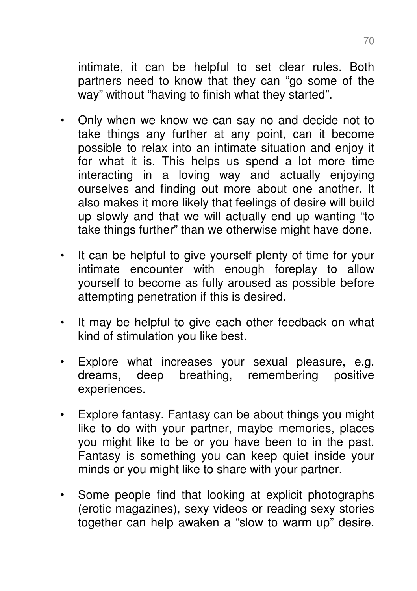intimate, it can be helpful to set clear rules. Both partners need to know that they can "go some of the way" without "having to finish what they started".

- Only when we know we can say no and decide not to take things any further at any point, can it become possible to relax into an intimate situation and enjoy it for what it is. This helps us spend a lot more time interacting in a loving way and actually enjoying ourselves and finding out more about one another. It also makes it more likely that feelings of desire will build up slowly and that we will actually end up wanting "to take things further" than we otherwise might have done.
- It can be helpful to give yourself plenty of time for your intimate encounter with enough foreplay to allow yourself to become as fully aroused as possible before attempting penetration if this is desired.
- It may be helpful to give each other feedback on what kind of stimulation you like best.
- Explore what increases your sexual pleasure, e.g. dreams, deep breathing, remembering positive experiences.
- Explore fantasy. Fantasy can be about things you might like to do with your partner, maybe memories, places you might like to be or you have been to in the past. Fantasy is something you can keep quiet inside your minds or you might like to share with your partner.
- Some people find that looking at explicit photographs (erotic magazines), sexy videos or reading sexy stories together can help awaken a "slow to warm up" desire.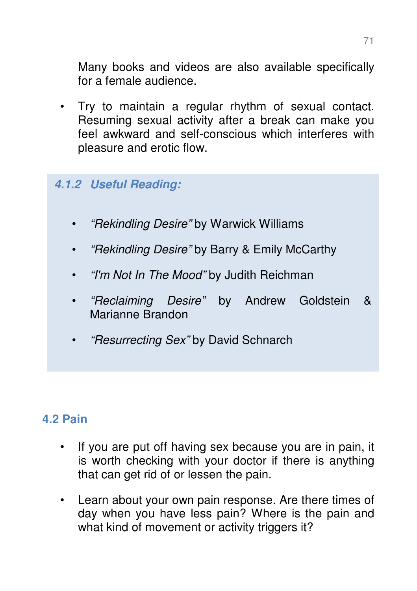Many books and videos are also available specifically for a female audience.

• Try to maintain a regular rhythm of sexual contact. Resuming sexual activity after a break can make you feel awkward and self-conscious which interferes with pleasure and erotic flow.

#### **4.1.2 Useful Reading:**

- "Rekindling Desire" by Warwick Williams
- "Rekindling Desire" by Barry & Emily McCarthy
- *"I'm Not In The Mood"* by Judith Reichman
- "Reclaiming Desire" by Andrew Goldstein & Marianne Brandon
- "Resurrecting Sex" by David Schnarch

#### **4.2 Pain**

- If you are put off having sex because you are in pain, it is worth checking with your doctor if there is anything that can get rid of or lessen the pain.
- Learn about your own pain response. Are there times of day when you have less pain? Where is the pain and what kind of movement or activity triggers it?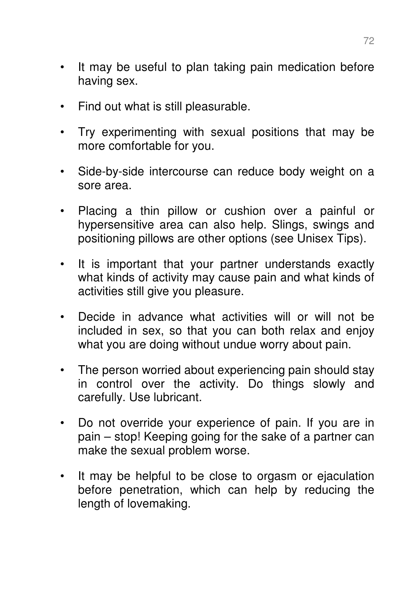- It may be useful to plan taking pain medication before having sex.
- Find out what is still pleasurable.
- Try experimenting with sexual positions that may be more comfortable for you.
- Side-by-side intercourse can reduce body weight on a sore area.
- Placing a thin pillow or cushion over a painful or hypersensitive area can also help. Slings, swings and positioning pillows are other options (see Unisex Tips).
- It is important that your partner understands exactly what kinds of activity may cause pain and what kinds of activities still give you pleasure.
- Decide in advance what activities will or will not be included in sex, so that you can both relax and enjoy what you are doing without undue worry about pain.
- The person worried about experiencing pain should stay in control over the activity. Do things slowly and carefully. Use lubricant.
- Do not override your experience of pain. If you are in pain – stop! Keeping going for the sake of a partner can make the sexual problem worse.
- It may be helpful to be close to orgasm or ejaculation before penetration, which can help by reducing the length of lovemaking.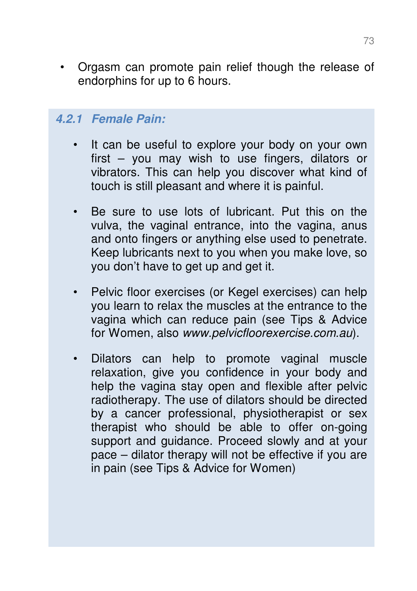• Orgasm can promote pain relief though the release of endorphins for up to 6 hours.

#### **4.2.1 Female Pain:**

- It can be useful to explore your body on your own first – you may wish to use fingers, dilators or vibrators. This can help you discover what kind of touch is still pleasant and where it is painful.
- Be sure to use lots of lubricant. Put this on the vulva, the vaginal entrance, into the vagina, anus and onto fingers or anything else used to penetrate. Keep lubricants next to you when you make love, so you don't have to get up and get it.
- Pelvic floor exercises (or Kegel exercises) can help you learn to relax the muscles at the entrance to the vagina which can reduce pain (see Tips & Advice for Women, also www.pelvicfloorexercise.com.au).
- Dilators can help to promote vaginal muscle relaxation, give you confidence in your body and help the vagina stay open and flexible after pelvic radiotherapy. The use of dilators should be directed by a cancer professional, physiotherapist or sex therapist who should be able to offer on-going support and guidance. Proceed slowly and at your pace – dilator therapy will not be effective if you are in pain (see Tips & Advice for Women)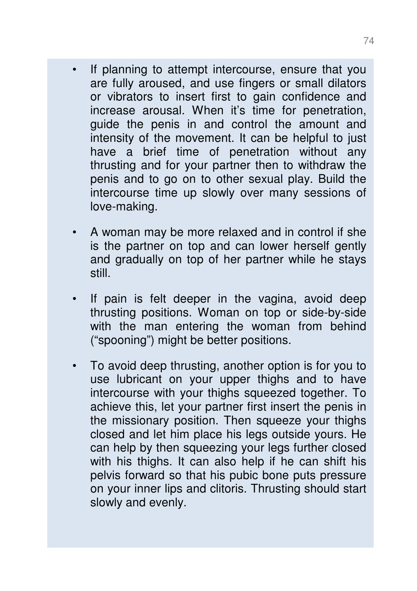- If planning to attempt intercourse, ensure that you are fully aroused, and use fingers or small dilators or vibrators to insert first to gain confidence and increase arousal. When it's time for penetration, guide the penis in and control the amount and intensity of the movement. It can be helpful to just have a brief time of penetration without any thrusting and for your partner then to withdraw the penis and to go on to other sexual play. Build the intercourse time up slowly over many sessions of love-making.
- A woman may be more relaxed and in control if she is the partner on top and can lower herself gently and gradually on top of her partner while he stays still.
- If pain is felt deeper in the vagina, avoid deep thrusting positions. Woman on top or side-by-side with the man entering the woman from behind ("spooning") might be better positions.
- To avoid deep thrusting, another option is for you to use lubricant on your upper thighs and to have intercourse with your thighs squeezed together. To achieve this, let your partner first insert the penis in the missionary position. Then squeeze your thighs closed and let him place his legs outside yours. He can help by then squeezing your legs further closed with his thighs. It can also help if he can shift his pelvis forward so that his pubic bone puts pressure on your inner lips and clitoris. Thrusting should start slowly and evenly.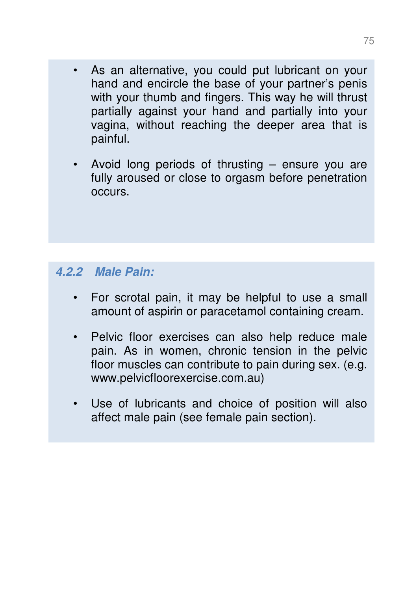- As an alternative, you could put lubricant on your hand and encircle the base of your partner's penis with your thumb and fingers. This way he will thrust partially against your hand and partially into your vagina, without reaching the deeper area that is painful.
- Avoid long periods of thrusting ensure you are fully aroused or close to orgasm before penetration occurs.

## **4.2.2 Male Pain:**

- For scrotal pain, it may be helpful to use a small amount of aspirin or paracetamol containing cream.
- Pelvic floor exercises can also help reduce male pain. As in women, chronic tension in the pelvic floor muscles can contribute to pain during sex. (e.g. www.pelvicfloorexercise.com.au)
- Use of lubricants and choice of position will also affect male pain (see female pain section).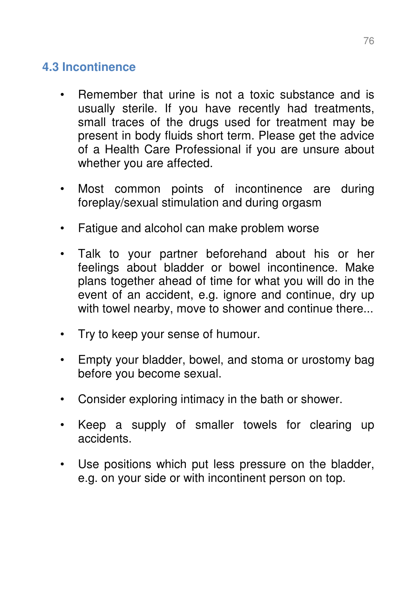## **4.3 Incontinence**

- Remember that urine is not a toxic substance and is usually sterile. If you have recently had treatments, small traces of the drugs used for treatment may be present in body fluids short term. Please get the advice of a Health Care Professional if you are unsure about whether you are affected.
- Most common points of incontinence are during foreplay/sexual stimulation and during orgasm
- Fatigue and alcohol can make problem worse
- Talk to your partner beforehand about his or her feelings about bladder or bowel incontinence. Make plans together ahead of time for what you will do in the event of an accident, e.g. ignore and continue, dry up with towel nearby, move to shower and continue there...
- Try to keep your sense of humour.
- Empty your bladder, bowel, and stoma or urostomy bag before you become sexual.
- Consider exploring intimacy in the bath or shower.
- Keep a supply of smaller towels for clearing up accidents.
- Use positions which put less pressure on the bladder, e.g. on your side or with incontinent person on top.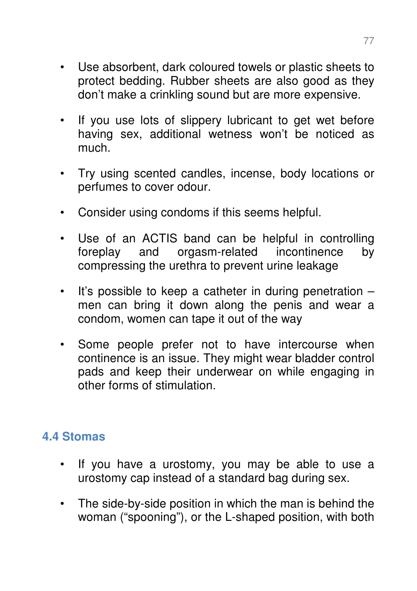- Use absorbent, dark coloured towels or plastic sheets to protect bedding. Rubber sheets are also good as they don't make a crinkling sound but are more expensive.
- If you use lots of slippery lubricant to get wet before having sex, additional wetness won't be noticed as much.
- Try using scented candles, incense, body locations or perfumes to cover odour.
- Consider using condoms if this seems helpful.
- Use of an ACTIS band can be helpful in controlling foreplay and orgasm-related incontinence by compressing the urethra to prevent urine leakage
- It's possible to keep a catheter in during penetration men can bring it down along the penis and wear a condom, women can tape it out of the way
- Some people prefer not to have intercourse when continence is an issue. They might wear bladder control pads and keep their underwear on while engaging in other forms of stimulation.

## **4.4 Stomas**

- If you have a urostomy, you may be able to use a urostomy cap instead of a standard bag during sex.
- The side-by-side position in which the man is behind the woman ("spooning"), or the L-shaped position, with both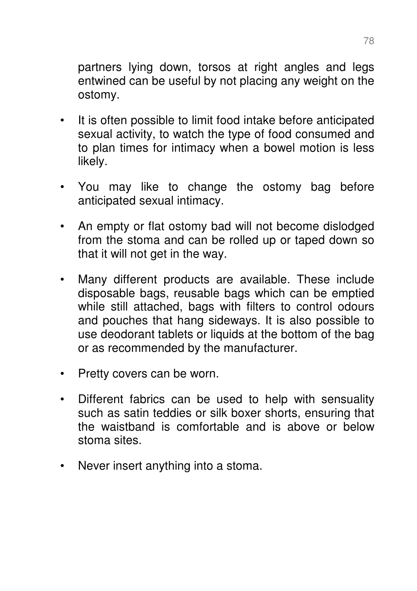partners lying down, torsos at right angles and legs entwined can be useful by not placing any weight on the ostomy.

- It is often possible to limit food intake before anticipated sexual activity, to watch the type of food consumed and to plan times for intimacy when a bowel motion is less likely.
- You may like to change the ostomy bag before anticipated sexual intimacy.
- An empty or flat ostomy bad will not become dislodged from the stoma and can be rolled up or taped down so that it will not get in the way.
- Many different products are available. These include disposable bags, reusable bags which can be emptied while still attached, bags with filters to control odours and pouches that hang sideways. It is also possible to use deodorant tablets or liquids at the bottom of the bag or as recommended by the manufacturer.
- Pretty covers can be worn.
- Different fabrics can be used to help with sensuality such as satin teddies or silk boxer shorts, ensuring that the waistband is comfortable and is above or below stoma sites.
- Never insert anything into a stoma.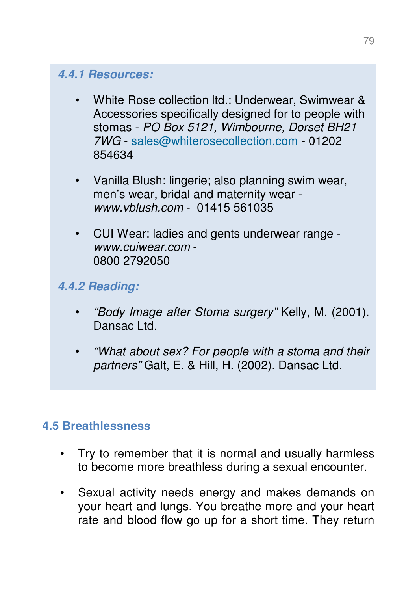#### **4.4.1 Resources:**

- White Rose collection ltd.: Underwear, Swimwear & Accessories specifically designed for to people with stomas - PO Box 5121, Wimbourne, Dorset BH21 7WG - sales@whiterosecollection.com - 01202 854634
- Vanilla Blush: lingerie; also planning swim wear, men's wear, bridal and maternity wear www.vblush.com - 01415 561035
- CUI Wear: ladies and gents underwear range www.cuiwear.com - 0800 2792050

## **4.4.2 Reading:**

- "Body Image after Stoma surgery" Kelly, M. (2001). Dansac Ltd.
- "What about sex? For people with a stoma and their partners" Galt, E. & Hill, H. (2002). Dansac Ltd.

## **4.5 Breathlessness**

- Try to remember that it is normal and usually harmless to become more breathless during a sexual encounter.
- Sexual activity needs energy and makes demands on your heart and lungs. You breathe more and your heart rate and blood flow go up for a short time. They return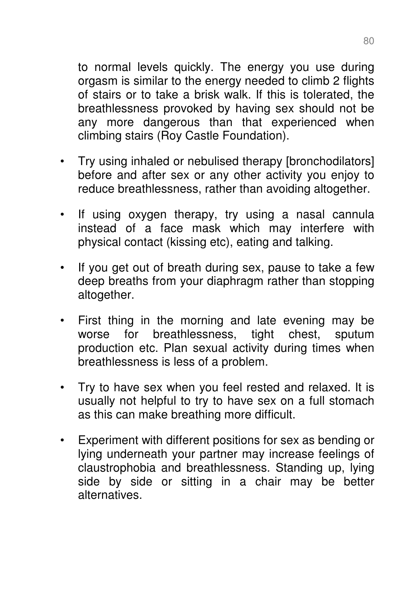to normal levels quickly. The energy you use during orgasm is similar to the energy needed to climb 2 flights of stairs or to take a brisk walk. If this is tolerated, the breathlessness provoked by having sex should not be any more dangerous than that experienced when climbing stairs (Roy Castle Foundation).

- Try using inhaled or nebulised therapy [bronchodilators] before and after sex or any other activity you enjoy to reduce breathlessness, rather than avoiding altogether.
- If using oxygen therapy, try using a nasal cannula instead of a face mask which may interfere with physical contact (kissing etc), eating and talking.
- If you get out of breath during sex, pause to take a few deep breaths from your diaphragm rather than stopping altogether.
- First thing in the morning and late evening may be worse for breathlessness, tight chest, sputum production etc. Plan sexual activity during times when breathlessness is less of a problem.
- Try to have sex when you feel rested and relaxed. It is usually not helpful to try to have sex on a full stomach as this can make breathing more difficult.
- Experiment with different positions for sex as bending or lying underneath your partner may increase feelings of claustrophobia and breathlessness. Standing up, lying side by side or sitting in a chair may be better alternatives.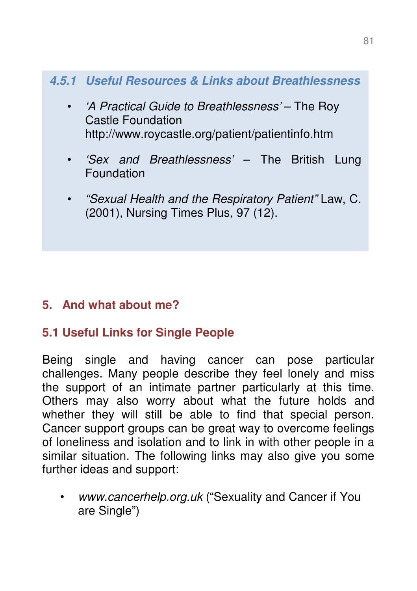## **4.5.1 Useful Resources & Links about Breathlessness**

- 'A Practical Guide to Breathlessness' The Roy Castle Foundation http://www.roycastle.org/patient/patientinfo.htm
- 'Sex and Breathlessness' The British Lung **Foundation**
- "Sexual Health and the Respiratory Patient" Law, C. (2001), Nursing Times Plus, 97 (12).

## **5. And what about me?**

## **5.1 Useful Links for Single People**

Being single and having cancer can pose particular challenges. Many people describe they feel lonely and miss the support of an intimate partner particularly at this time. Others may also worry about what the future holds and whether they will still be able to find that special person. Cancer support groups can be great way to overcome feelings of loneliness and isolation and to link in with other people in a similar situation. The following links may also give you some further ideas and support:

www.cancerhelp.org.uk ("Sexuality and Cancer if You are Single")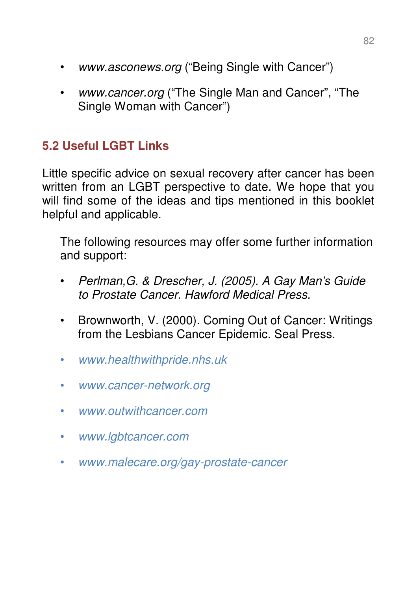- www.asconews.org ("Being Single with Cancer")
- www.cancer.org ("The Single Man and Cancer", "The Single Woman with Cancer")

## **5.2 Useful LGBT Links**

Little specific advice on sexual recovery after cancer has been written from an LGBT perspective to date. We hope that you will find some of the ideas and tips mentioned in this booklet helpful and applicable.

The following resources may offer some further information and support:

- Perlman,G. & Drescher, J. (2005). A Gay Man's Guide to Prostate Cancer. Hawford Medical Press.
- Brownworth, V. (2000). Coming Out of Cancer: Writings from the Lesbians Cancer Epidemic. Seal Press.
- www.healthwithpride.nhs.uk
- www.cancer-network.org
- www.outwithcancer.com
- www.lgbtcancer.com
- www.malecare.org/gay-prostate-cancer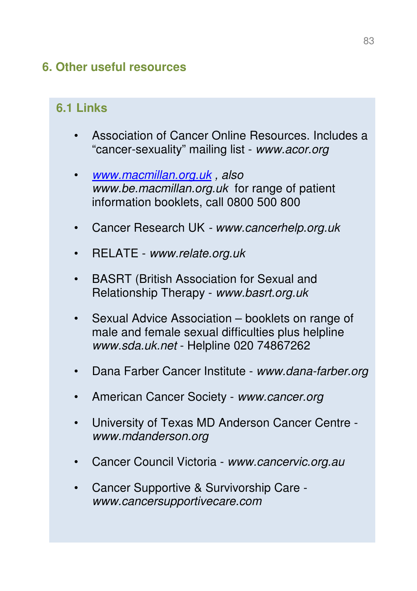## **6. Other useful resources**

## **6.1 Links**

- Association of Cancer Online Resources. Includes a "cancer-sexuality" mailing list - www.acor.org
- www.macmillan.org.uk , also www.be.macmillan.org.uk for range of patient information booklets, call 0800 500 800
- Cancer Research UK www.cancerhelp.org.uk
- RELATE www.relate.org.uk
- BASRT (British Association for Sexual and Relationship Therapy - www.basrt.org.uk
- Sexual Advice Association booklets on range of male and female sexual difficulties plus helpline www.sda.uk.net - Helpline 020 74867262
- Dana Farber Cancer Institute www.dana-farber.org
- American Cancer Society www.cancer.org
- University of Texas MD Anderson Cancer Centre www.mdanderson.org
- Cancer Council Victoria www.cancervic.org.au
- Cancer Supportive & Survivorship Care www.cancersupportivecare.com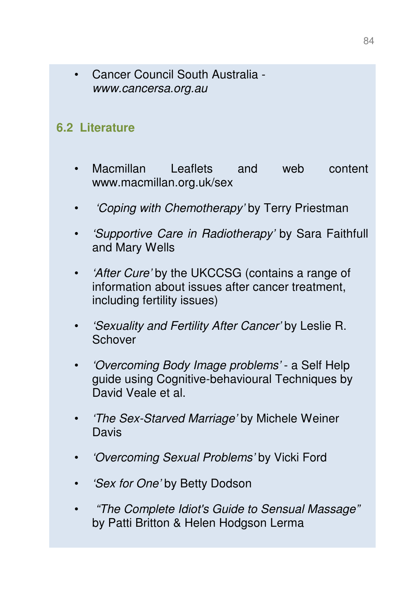• Cancer Council South Australia www.cancersa.org.au

### **6.2 Literature**

- Macmillan Leaflets and web content www.macmillan.org.uk/sex
- 'Coping with Chemotherapy' by Terry Priestman
- 'Supportive Care in Radiotherapy' by Sara Faithfull and Mary Wells
- 'After Cure' by the UKCCSG (contains a range of information about issues after cancer treatment, including fertility issues)
- 'Sexuality and Fertility After Cancer' by Leslie R. **Schover**
- 'Overcoming Body Image problems' a Self Help guide using Cognitive-behavioural Techniques by David Veale et al.
- 'The Sex-Starved Marriage' by Michele Weiner **Davis**
- 'Overcoming Sexual Problems' by Vicki Ford
- *'Sex for One'* by Betty Dodson
- "The Complete Idiot's Guide to Sensual Massage" by Patti Britton & Helen Hodgson Lerma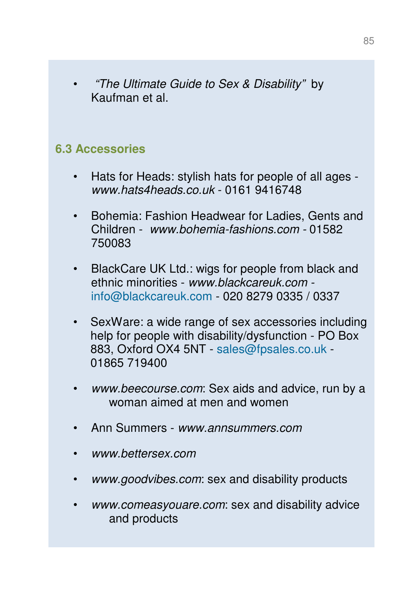• "The Ultimate Guide to Sex & Disability" by Kaufman et al.

#### **6.3 Accessories**

- Hats for Heads: stylish hats for people of all ages www.hats4heads.co.uk - 0161 9416748
- Bohemia: Fashion Headwear for Ladies, Gents and Children - www.bohemia-fashions.com - 01582 750083
- BlackCare UK Ltd.: wigs for people from black and ethnic minorities - www.blackcareuk.com info@blackcareuk.com - 020 8279 0335 / 0337
- SexWare: a wide range of sex accessories including help for people with disability/dysfunction - PO Box 883, Oxford OX4 5NT - sales@fpsales.co.uk - 01865 719400
- www.beecourse.com: Sex aids and advice, run by a woman aimed at men and women
- Ann Summers www.annsummers.com
- www.bettersex.com
- www.goodvibes.com: sex and disability products
- www.comeasyouare.com: sex and disability advice and products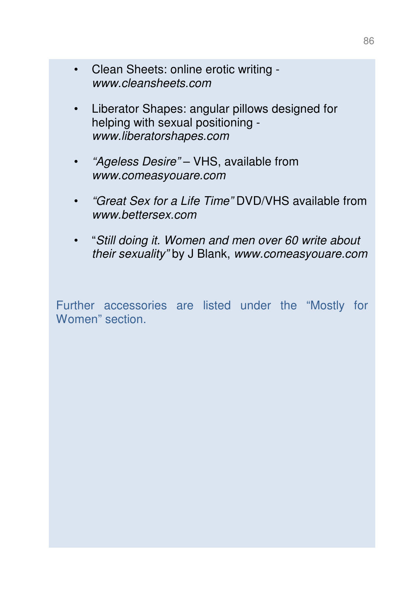- Clean Sheets: online erotic writing www.cleansheets.com
- Liberator Shapes: angular pillows designed for helping with sexual positioning www.liberatorshapes.com
- *"Ageless Desire"* VHS, available from www.comeasyouare.com
- "Great Sex for a Life Time" DVD/VHS available from www.bettersex.com
- "Still doing it. Women and men over 60 write about their sexuality" by J Blank, www.comeasyouare.com

Further accessories are listed under the "Mostly for Women" section.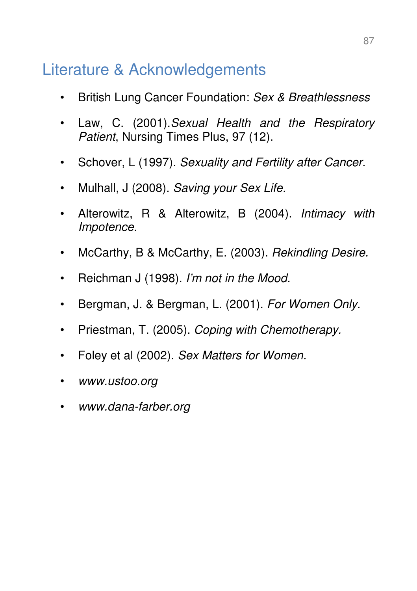# Literature & Acknowledgements

- British Lung Cancer Foundation: Sex & Breathlessness
- Law, C. (2001). Sexual Health and the Respiratory Patient, Nursing Times Plus, 97 (12).
- Schover, L (1997). Sexuality and Fertility after Cancer.
- Mulhall, J (2008). Saving your Sex Life.
- Alterowitz, R & Alterowitz, B (2004). Intimacy with Impotence.
- McCarthy, B & McCarthy, E. (2003). Rekindling Desire.
- Reichman J (1998). I'm not in the Mood.
- Bergman, J. & Bergman, L. (2001). For Women Only.
- Priestman, T. (2005). Coping with Chemotherapy.
- Foley et al (2002). Sex Matters for Women.
- www.ustoo.org
- www.dana-farber.org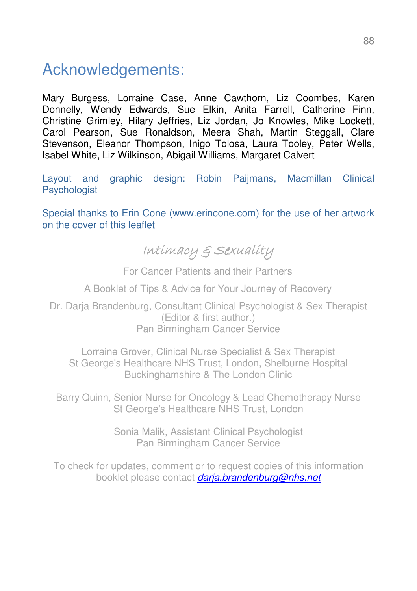# Acknowledgements:

Mary Burgess, Lorraine Case, Anne Cawthorn, Liz Coombes, Karen Donnelly, Wendy Edwards, Sue Elkin, Anita Farrell, Catherine Finn, Christine Grimley, Hilary Jeffries, Liz Jordan, Jo Knowles, Mike Lockett, Carol Pearson, Sue Ronaldson, Meera Shah, Martin Steggall, Clare Stevenson, Eleanor Thompson, Inigo Tolosa, Laura Tooley, Peter Wells, Isabel White, Liz Wilkinson, Abigail Williams, Margaret Calvert

Layout and graphic design: Robin Paijmans, Macmillan Clinical **Psychologist** 

Special thanks to Erin Cone (www.erincone.com) for the use of her artwork on the cover of this leaflet

# Intimacy & Sexuality

For Cancer Patients and their Partners

A Booklet of Tips & Advice for Your Journey of Recovery

Dr. Darja Brandenburg, Consultant Clinical Psychologist & Sex Therapist (Editor & first author.) Pan Birmingham Cancer Service

Lorraine Grover, Clinical Nurse Specialist & Sex Therapist St George's Healthcare NHS Trust, London, Shelburne Hospital Buckinghamshire & The London Clinic

Barry Quinn, Senior Nurse for Oncology & Lead Chemotherapy Nurse St George's Healthcare NHS Trust, London

> Sonia Malik, Assistant Clinical Psychologist Pan Birmingham Cancer Service

To check for updates, comment or to request copies of this information booklet please contact darja.brandenburg@nhs.net